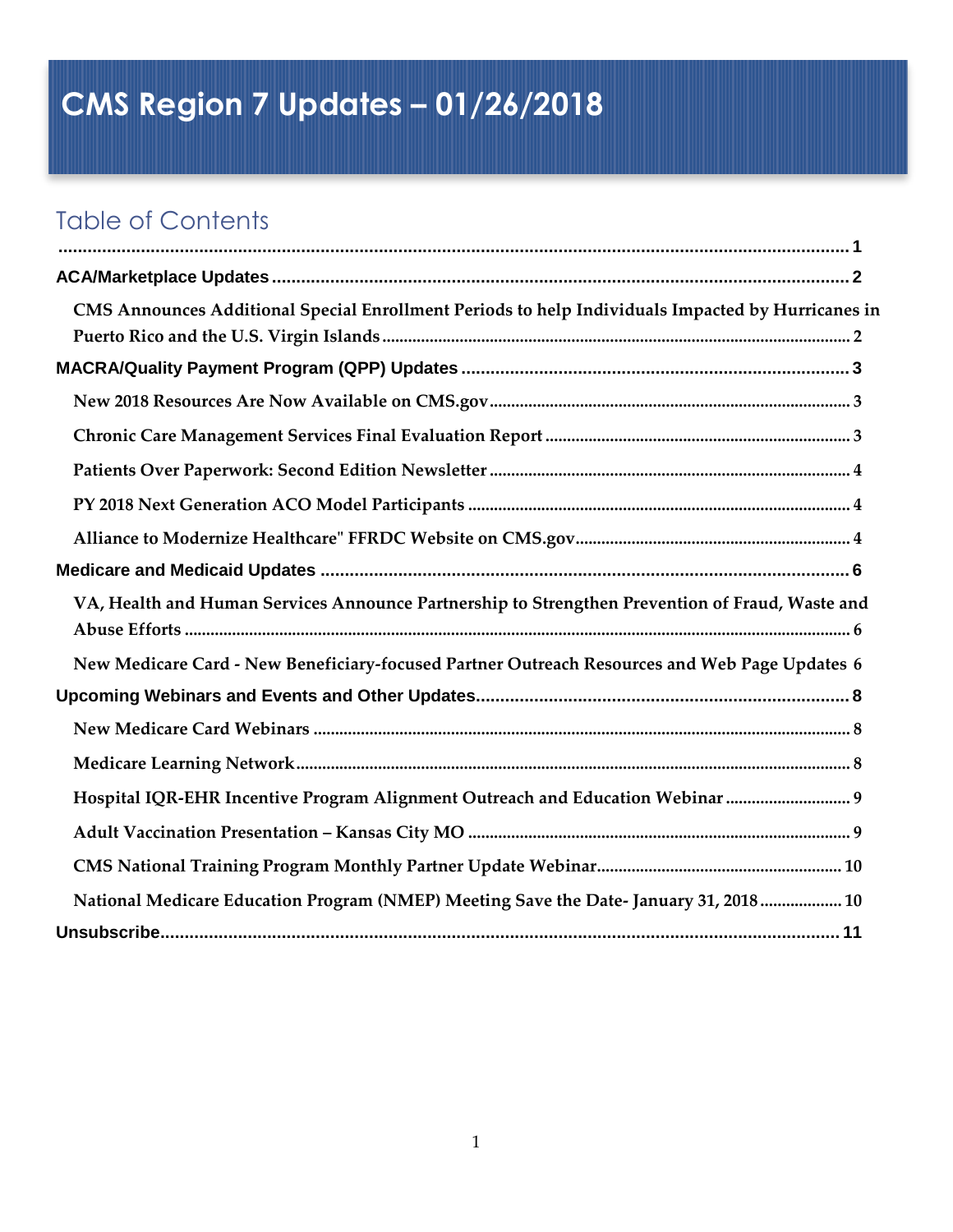# <span id="page-0-0"></span>**CMS Region 7 Updates – 01/26/2018**

# Table of Contents

| CMS Announces Additional Special Enrollment Periods to help Individuals Impacted by Hurricanes in |  |
|---------------------------------------------------------------------------------------------------|--|
|                                                                                                   |  |
|                                                                                                   |  |
|                                                                                                   |  |
|                                                                                                   |  |
|                                                                                                   |  |
|                                                                                                   |  |
|                                                                                                   |  |
|                                                                                                   |  |
| VA, Health and Human Services Announce Partnership to Strengthen Prevention of Fraud, Waste and   |  |
|                                                                                                   |  |
| New Medicare Card - New Beneficiary-focused Partner Outreach Resources and Web Page Updates 6     |  |
|                                                                                                   |  |
|                                                                                                   |  |
|                                                                                                   |  |
| Hospital IQR-EHR Incentive Program Alignment Outreach and Education Webinar  9                    |  |
|                                                                                                   |  |
|                                                                                                   |  |
| National Medicare Education Program (NMEP) Meeting Save the Date-January 31, 2018  10             |  |
|                                                                                                   |  |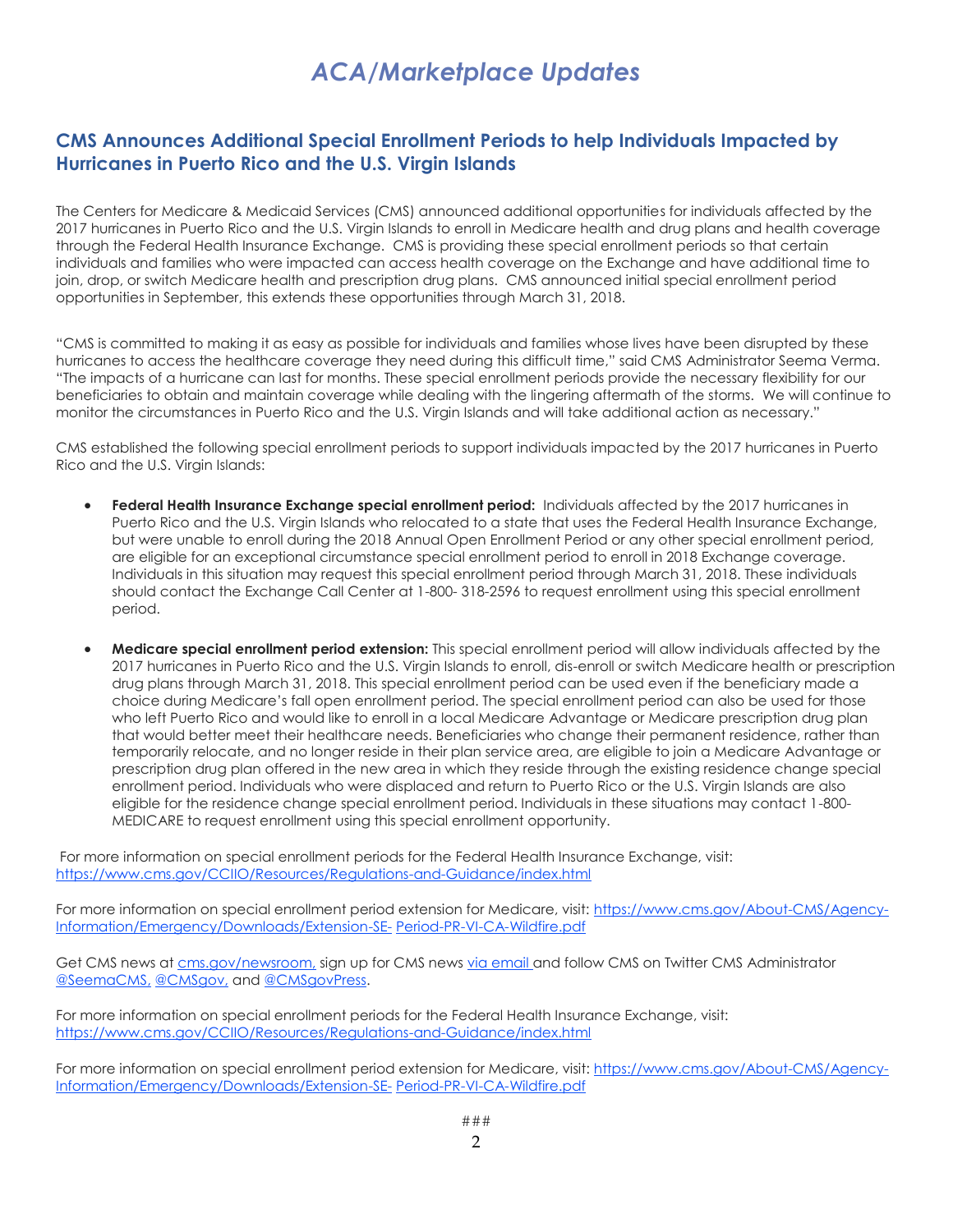# *ACA/Marketplace Updates*

# <span id="page-1-1"></span><span id="page-1-0"></span>**CMS Announces Additional Special Enrollment Periods to help Individuals Impacted by Hurricanes in Puerto Rico and the U.S. Virgin Islands**

The Centers for Medicare & Medicaid Services (CMS) announced additional opportunities for individuals affected by the 2017 hurricanes in Puerto Rico and the U.S. Virgin Islands to enroll in Medicare health and drug plans and health coverage through the Federal Health Insurance Exchange. CMS is providing these special enrollment periods so that certain individuals and families who were impacted can access health coverage on the Exchange and have additional time to join, drop, or switch Medicare health and prescription drug plans. CMS announced initial special enrollment period opportunities in September, this extends these opportunities through March 31, 2018.

"CMS is committed to making it as easy as possible for individuals and families whose lives have been disrupted by these hurricanes to access the healthcare coverage they need during this difficult time," said CMS Administrator Seema Verma. "The impacts of a hurricane can last for months. These special enrollment periods provide the necessary flexibility for our beneficiaries to obtain and maintain coverage while dealing with the lingering aftermath of the storms. We will continue to monitor the circumstances in Puerto Rico and the U.S. Virgin Islands and will take additional action as necessary."

CMS established the following special enrollment periods to support individuals impacted by the 2017 hurricanes in Puerto Rico and the U.S. Virgin Islands:

- **Federal Health Insurance Exchange special enrollment period:** Individuals affected by the 2017 hurricanes in Puerto Rico and the U.S. Virgin Islands who relocated to a state that uses the Federal Health Insurance Exchange, but were unable to enroll during the 2018 Annual Open Enrollment Period or any other special enrollment period, are eligible for an exceptional circumstance special enrollment period to enroll in 2018 Exchange coverage. Individuals in this situation may request this special enrollment period through March 31, 2018. These individuals should contact the Exchange Call Center at 1-800- 318-2596 to request enrollment using this special enrollment period.
- **Medicare special enrollment period extension:** This special enrollment period will allow individuals affected by the 2017 hurricanes in Puerto Rico and the U.S. Virgin Islands to enroll, dis-enroll or switch Medicare health or prescription drug plans through March 31, 2018. This special enrollment period can be used even if the beneficiary made a choice during Medicare's fall open enrollment period. The special enrollment period can also be used for those who left Puerto Rico and would like to enroll in a local Medicare Advantage or Medicare prescription drug plan that would better meet their healthcare needs. Beneficiaries who change their permanent residence, rather than temporarily relocate, and no longer reside in their plan service area, are eligible to join a Medicare Advantage or prescription drug plan offered in the new area in which they reside through the existing residence change special enrollment period. Individuals who were displaced and return to Puerto Rico or the U.S. Virgin Islands are also eligible for the residence change special enrollment period. Individuals in these situations may contact 1-800- MEDICARE to request enrollment using this special enrollment opportunity.

For more information on special enrollment periods for the Federal Health Insurance Exchange, visit: [https://www.cms.gov/CCIIO/Resources/Regulations-and-Guidance/index.html](http://links.govdelivery.com/track?type=click&enid=ZWFzPTEmbXNpZD0mYXVpZD0mbWFpbGluZ2lkPTIwMTgwMTE3LjgzODY2MzAxJm1lc3NhZ2VpZD1NREItUFJELUJVTC0yMDE4MDExNy44Mzg2NjMwMSZkYXRhYmFzZWlkPTEwMDEmc2VyaWFsPTE4MTk3NjQxJmVtYWlsaWQ9bG9yZWxlaS5zY2hpZWZlcmRlY2tlckBjbXMuaGhzLmdvdiZ1c2VyaWQ9bG9yZWxlaS5zY2hpZWZlcmRlY2tlckBjbXMuaGhzLmdvdiZ0YXJnZXRpZD0mZmw9JmV4dHJhPU11bHRpdmFyaWF0ZUlkPSYmJg==&&&100&&&https://www.cms.gov/CCIIO/Resources/Regulations-and-Guidance/index.html)

For more information on special enrollment period extension for Medicare, visit: [https://www.cms.gov/About-CMS/Agency-](http://links.govdelivery.com/track?type=click&enid=ZWFzPTEmbXNpZD0mYXVpZD0mbWFpbGluZ2lkPTIwMTgwMTE3LjgzODY2MzAxJm1lc3NhZ2VpZD1NREItUFJELUJVTC0yMDE4MDExNy44Mzg2NjMwMSZkYXRhYmFzZWlkPTEwMDEmc2VyaWFsPTE4MTk3NjQxJmVtYWlsaWQ9bG9yZWxlaS5zY2hpZWZlcmRlY2tlckBjbXMuaGhzLmdvdiZ1c2VyaWQ9bG9yZWxlaS5zY2hpZWZlcmRlY2tlckBjbXMuaGhzLmdvdiZ0YXJnZXRpZD0mZmw9JmV4dHJhPU11bHRpdmFyaWF0ZUlkPSYmJg==&&&101&&&https://www.cms.gov/About-CMS/Agency-Information/Emergency/Downloads/Extension-SE-Period-PR-VI-CA-Wildfire.pdf)[Information/Emergency/Downloads/Extension-SE-](http://links.govdelivery.com/track?type=click&enid=ZWFzPTEmbXNpZD0mYXVpZD0mbWFpbGluZ2lkPTIwMTgwMTE3LjgzODY2MzAxJm1lc3NhZ2VpZD1NREItUFJELUJVTC0yMDE4MDExNy44Mzg2NjMwMSZkYXRhYmFzZWlkPTEwMDEmc2VyaWFsPTE4MTk3NjQxJmVtYWlsaWQ9bG9yZWxlaS5zY2hpZWZlcmRlY2tlckBjbXMuaGhzLmdvdiZ1c2VyaWQ9bG9yZWxlaS5zY2hpZWZlcmRlY2tlckBjbXMuaGhzLmdvdiZ0YXJnZXRpZD0mZmw9JmV4dHJhPU11bHRpdmFyaWF0ZUlkPSYmJg==&&&101&&&https://www.cms.gov/About-CMS/Agency-Information/Emergency/Downloads/Extension-SE-Period-PR-VI-CA-Wildfire.pdf) [Period-PR-VI-CA-Wildfire.pdf](http://links.govdelivery.com/track?type=click&enid=ZWFzPTEmbXNpZD0mYXVpZD0mbWFpbGluZ2lkPTIwMTgwMTE3LjgzODY2MzAxJm1lc3NhZ2VpZD1NREItUFJELUJVTC0yMDE4MDExNy44Mzg2NjMwMSZkYXRhYmFzZWlkPTEwMDEmc2VyaWFsPTE4MTk3NjQxJmVtYWlsaWQ9bG9yZWxlaS5zY2hpZWZlcmRlY2tlckBjbXMuaGhzLmdvdiZ1c2VyaWQ9bG9yZWxlaS5zY2hpZWZlcmRlY2tlckBjbXMuaGhzLmdvdiZ0YXJnZXRpZD0mZmw9JmV4dHJhPU11bHRpdmFyaWF0ZUlkPSYmJg==&&&102&&&https://www.cms.gov/About-CMS/Agency-Information/Emergency/Downloads/Extension-SE-Period-PR-VI-CA-Wildfire.pdf)

Get CMS news at [cms.gov/newsroom,](http://links.govdelivery.com/track?type=click&enid=ZWFzPTEmbXNpZD0mYXVpZD0mbWFpbGluZ2lkPTIwMTgwMTE3LjgzODY2MzAxJm1lc3NhZ2VpZD1NREItUFJELUJVTC0yMDE4MDExNy44Mzg2NjMwMSZkYXRhYmFzZWlkPTEwMDEmc2VyaWFsPTE4MTk3NjQxJmVtYWlsaWQ9bG9yZWxlaS5zY2hpZWZlcmRlY2tlckBjbXMuaGhzLmdvdiZ1c2VyaWQ9bG9yZWxlaS5zY2hpZWZlcmRlY2tlckBjbXMuaGhzLmdvdiZ0YXJnZXRpZD0mZmw9JmV4dHJhPU11bHRpdmFyaWF0ZUlkPSYmJg==&&&103&&&http://link.email.dynect.net/link.php?DynEngagement=true&H=WAA0HYy4enWklLGLVOCoftvRiKxkwcx7028A%2BNZlWSzSEaUD3cyAX035GTwXuYTIauLFIZXoS3kwpvvoEhi4Y8G%2BMFAtmw%2BMcqiFx87xKjXXSRsZegKbNrk%2F4QNWrY9H&G=0&R=https%3A%2F%2Fwww.cms.gov%2FNewsroom%2FNewsroom-Center.html&I=20171205171349.00000283d350%40mail6-33-usnbn1&X=MHwxMDQ2NzU4OjVhMjZkM2FjZGNhM2QwMGY5NmZmNjA2Mjs%3D&S=F4PFefpCWAIXfcE1-foA4aF3Z5qzU2JMir53nncUzAk) sign up for CMS news [via email a](http://links.govdelivery.com/track?type=click&enid=ZWFzPTEmbXNpZD0mYXVpZD0mbWFpbGluZ2lkPTIwMTgwMTE3LjgzODY2MzAxJm1lc3NhZ2VpZD1NREItUFJELUJVTC0yMDE4MDExNy44Mzg2NjMwMSZkYXRhYmFzZWlkPTEwMDEmc2VyaWFsPTE4MTk3NjQxJmVtYWlsaWQ9bG9yZWxlaS5zY2hpZWZlcmRlY2tlckBjbXMuaGhzLmdvdiZ1c2VyaWQ9bG9yZWxlaS5zY2hpZWZlcmRlY2tlckBjbXMuaGhzLmdvdiZ0YXJnZXRpZD0mZmw9JmV4dHJhPU11bHRpdmFyaWF0ZUlkPSYmJg==&&&104&&&http://link.email.dynect.net/link.php?DynEngagement=true&H=WAA0HYy4enWklLGLVOCoftvRiKxkwcx7028A%2BNZlWSzSEaUD3cyAX035GTwXuYTIauLFIZXoS3kwpvvoEhi4Y8G%2BMFAtmw%2BMcqiFx87xKjXXSRsZegKbNrk%2F4QNWrY9H&G=0&R=https%3A%2F%2Fpublic.govdelivery.com%2Faccounts%2FUSCMS%2Fsubscriber%2Fnew%3Ftopic_id%3DUSCMS_610&I=20171205171349.00000283d350%40mail6-33-usnbn1&X=MHwxMDQ2NzU4OjVhMjZkM2FjZGNhM2QwMGY5NmZmNjA2Mjs%3D&S=yKSYEB9wWjKz90OM4j3cpWtIMUGdYgLHhDQ4a8cDXTM)nd follow CMS on Twitter CMS Administrator [@SeemaCMS,](http://links.govdelivery.com/track?type=click&enid=ZWFzPTEmbXNpZD0mYXVpZD0mbWFpbGluZ2lkPTIwMTgwMTE3LjgzODY2MzAxJm1lc3NhZ2VpZD1NREItUFJELUJVTC0yMDE4MDExNy44Mzg2NjMwMSZkYXRhYmFzZWlkPTEwMDEmc2VyaWFsPTE4MTk3NjQxJmVtYWlsaWQ9bG9yZWxlaS5zY2hpZWZlcmRlY2tlckBjbXMuaGhzLmdvdiZ1c2VyaWQ9bG9yZWxlaS5zY2hpZWZlcmRlY2tlckBjbXMuaGhzLmdvdiZ0YXJnZXRpZD0mZmw9JmV4dHJhPU11bHRpdmFyaWF0ZUlkPSYmJg==&&&105&&&http://link.email.dynect.net/link.php?DynEngagement=true&H=WAA0HYy4enWklLGLVOCoftvRiKxkwcx7028A%2BNZlWSzSEaUD3cyAX035GTwXuYTIauLFIZXoS3kwpvvoEhi4Y8G%2BMFAtmw%2BMcqiFx87xKjXXSRsZegKbNrk%2F4QNWrY9H&G=0&R=https%3A%2F%2Ftwitter.com%2FSeemaCMS&I=20171205171349.00000283d350%40mail6-33-usnbn1&X=MHwxMDQ2NzU4OjVhMjZkM2FjZGNhM2QwMGY5NmZmNjA2Mjs%3D&S=zqzb0faQbpqh0QeB4jgbkvrHpo1lKwIvgbeHLemadeg) [@CMSgov,](http://links.govdelivery.com/track?type=click&enid=ZWFzPTEmbXNpZD0mYXVpZD0mbWFpbGluZ2lkPTIwMTgwMTE3LjgzODY2MzAxJm1lc3NhZ2VpZD1NREItUFJELUJVTC0yMDE4MDExNy44Mzg2NjMwMSZkYXRhYmFzZWlkPTEwMDEmc2VyaWFsPTE4MTk3NjQxJmVtYWlsaWQ9bG9yZWxlaS5zY2hpZWZlcmRlY2tlckBjbXMuaGhzLmdvdiZ1c2VyaWQ9bG9yZWxlaS5zY2hpZWZlcmRlY2tlckBjbXMuaGhzLmdvdiZ0YXJnZXRpZD0mZmw9JmV4dHJhPU11bHRpdmFyaWF0ZUlkPSYmJg==&&&106&&&http://link.email.dynect.net/link.php?DynEngagement=true&H=WAA0HYy4enWklLGLVOCoftvRiKxkwcx7028A%2BNZlWSzSEaUD3cyAX035GTwXuYTIauLFIZXoS3kwpvvoEhi4Y8G%2BMFAtmw%2BMcqiFx87xKjXXSRsZegKbNrk%2F4QNWrY9H&G=0&R=https%3A%2F%2Ftwitter.com%2FCMSGov&I=20171205171349.00000283d350%40mail6-33-usnbn1&X=MHwxMDQ2NzU4OjVhMjZkM2FjZGNhM2QwMGY5NmZmNjA2Mjs%3D&S=QzuR5f2SC_PCPUiFWOvDtEQwzu5IQetkxhE4vLzn2xo) an[d @CMSgovPress.](http://links.govdelivery.com/track?type=click&enid=ZWFzPTEmbXNpZD0mYXVpZD0mbWFpbGluZ2lkPTIwMTgwMTE3LjgzODY2MzAxJm1lc3NhZ2VpZD1NREItUFJELUJVTC0yMDE4MDExNy44Mzg2NjMwMSZkYXRhYmFzZWlkPTEwMDEmc2VyaWFsPTE4MTk3NjQxJmVtYWlsaWQ9bG9yZWxlaS5zY2hpZWZlcmRlY2tlckBjbXMuaGhzLmdvdiZ1c2VyaWQ9bG9yZWxlaS5zY2hpZWZlcmRlY2tlckBjbXMuaGhzLmdvdiZ0YXJnZXRpZD0mZmw9JmV4dHJhPU11bHRpdmFyaWF0ZUlkPSYmJg==&&&107&&&http://link.email.dynect.net/link.php?DynEngagement=true&H=WAA0HYy4enWklLGLVOCoftvRiKxkwcx7028A%2BNZlWSzSEaUD3cyAX035GTwXuYTIauLFIZXoS3kwpvvoEhi4Y8G%2BMFAtmw%2BMcqiFx87xKjXXSRsZegKbNrk%2F4QNWrY9H&G=0&R=https%3A%2F%2Ftwitter.com%2FCMSgovPress&I=20171205171349.00000283d350%40mail6-33-usnbn1&X=MHwxMDQ2NzU4OjVhMjZkM2FjZGNhM2QwMGY5NmZmNjA2Mjs%3D&S=2R-qw_w19tK77iuLQVU8W0fsDsrt6mOScQDOCnnUrE0)

For more information on special enrollment periods for the Federal Health Insurance Exchange, visit: [https://www.cms.gov/CCIIO/Resources/Regulations-and-Guidance/index.html](http://links.govdelivery.com/track?type=click&enid=ZWFzPTEmbXNpZD0mYXVpZD0mbWFpbGluZ2lkPTIwMTgwMTE3LjgzODY2MzAxJm1lc3NhZ2VpZD1NREItUFJELUJVTC0yMDE4MDExNy44Mzg2NjMwMSZkYXRhYmFzZWlkPTEwMDEmc2VyaWFsPTE4MTk3NjQxJmVtYWlsaWQ9bG9yZWxlaS5zY2hpZWZlcmRlY2tlckBjbXMuaGhzLmdvdiZ1c2VyaWQ9bG9yZWxlaS5zY2hpZWZlcmRlY2tlckBjbXMuaGhzLmdvdiZ0YXJnZXRpZD0mZmw9JmV4dHJhPU11bHRpdmFyaWF0ZUlkPSYmJg==&&&108&&&https://www.cms.gov/CCIIO/Resources/Regulations-and-Guidance/index.html)

For more information on special enrollment period extension for Medicare, visit[: https://www.cms.gov/About-CMS/Agency-](http://links.govdelivery.com/track?type=click&enid=ZWFzPTEmbXNpZD0mYXVpZD0mbWFpbGluZ2lkPTIwMTgwMTE3LjgzODY2MzAxJm1lc3NhZ2VpZD1NREItUFJELUJVTC0yMDE4MDExNy44Mzg2NjMwMSZkYXRhYmFzZWlkPTEwMDEmc2VyaWFsPTE4MTk3NjQxJmVtYWlsaWQ9bG9yZWxlaS5zY2hpZWZlcmRlY2tlckBjbXMuaGhzLmdvdiZ1c2VyaWQ9bG9yZWxlaS5zY2hpZWZlcmRlY2tlckBjbXMuaGhzLmdvdiZ0YXJnZXRpZD0mZmw9JmV4dHJhPU11bHRpdmFyaWF0ZUlkPSYmJg==&&&109&&&https://www.cms.gov/About-CMS/Agency-Information/Emergency/Downloads/Extension-SE-Period-PR-VI-CA-Wildfire.pdf)[Information/Emergency/Downloads/Extension-SE-](http://links.govdelivery.com/track?type=click&enid=ZWFzPTEmbXNpZD0mYXVpZD0mbWFpbGluZ2lkPTIwMTgwMTE3LjgzODY2MzAxJm1lc3NhZ2VpZD1NREItUFJELUJVTC0yMDE4MDExNy44Mzg2NjMwMSZkYXRhYmFzZWlkPTEwMDEmc2VyaWFsPTE4MTk3NjQxJmVtYWlsaWQ9bG9yZWxlaS5zY2hpZWZlcmRlY2tlckBjbXMuaGhzLmdvdiZ1c2VyaWQ9bG9yZWxlaS5zY2hpZWZlcmRlY2tlckBjbXMuaGhzLmdvdiZ0YXJnZXRpZD0mZmw9JmV4dHJhPU11bHRpdmFyaWF0ZUlkPSYmJg==&&&109&&&https://www.cms.gov/About-CMS/Agency-Information/Emergency/Downloads/Extension-SE-Period-PR-VI-CA-Wildfire.pdf) [Period-PR-VI-CA-Wildfire.pdf](http://links.govdelivery.com/track?type=click&enid=ZWFzPTEmbXNpZD0mYXVpZD0mbWFpbGluZ2lkPTIwMTgwMTE3LjgzODY2MzAxJm1lc3NhZ2VpZD1NREItUFJELUJVTC0yMDE4MDExNy44Mzg2NjMwMSZkYXRhYmFzZWlkPTEwMDEmc2VyaWFsPTE4MTk3NjQxJmVtYWlsaWQ9bG9yZWxlaS5zY2hpZWZlcmRlY2tlckBjbXMuaGhzLmdvdiZ1c2VyaWQ9bG9yZWxlaS5zY2hpZWZlcmRlY2tlckBjbXMuaGhzLmdvdiZ0YXJnZXRpZD0mZmw9JmV4dHJhPU11bHRpdmFyaWF0ZUlkPSYmJg==&&&110&&&https://www.cms.gov/About-CMS/Agency-Information/Emergency/Downloads/Extension-SE-Period-PR-VI-CA-Wildfire.pdf)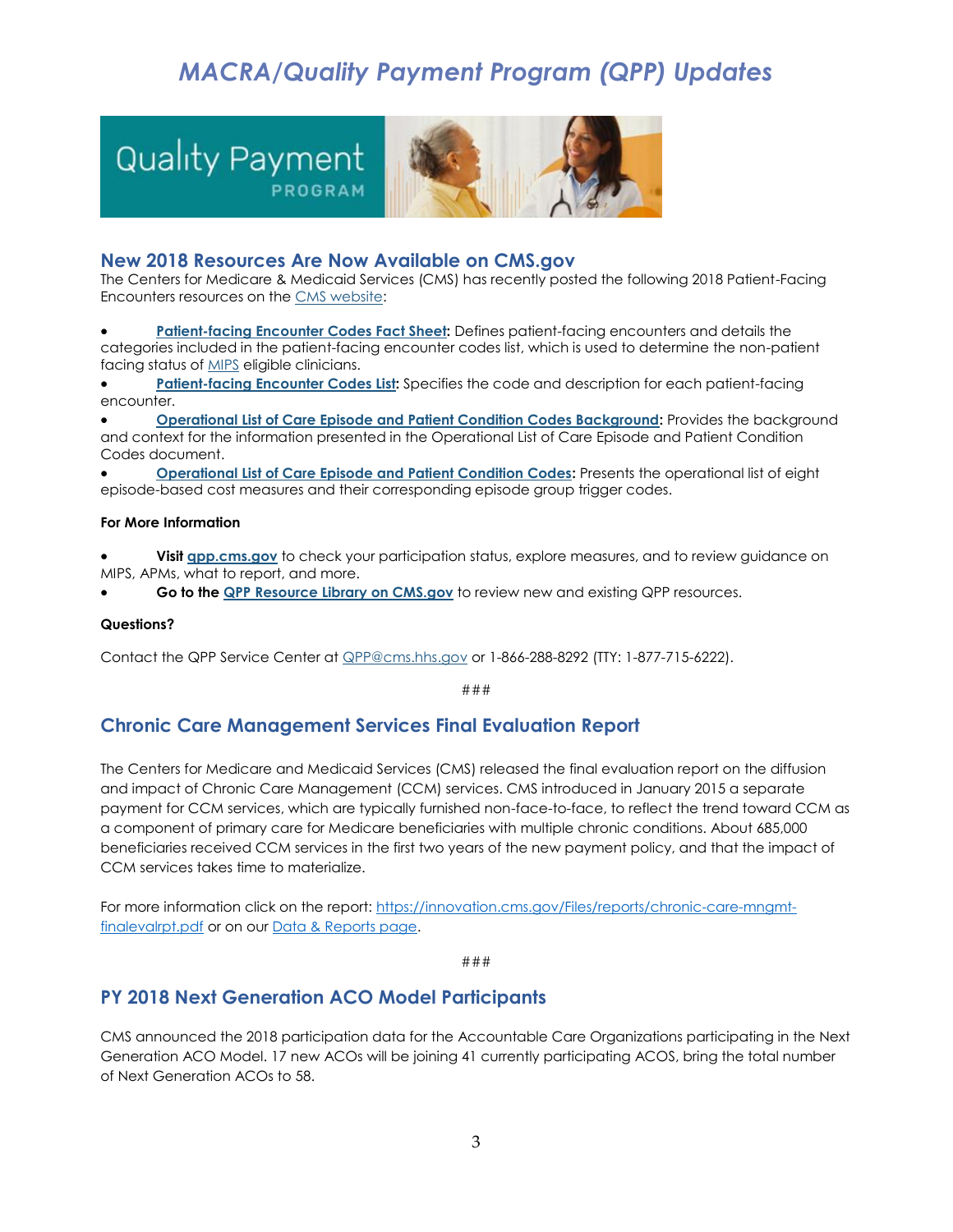# *MACRA/Quality Payment Program (QPP) Updates*

<span id="page-2-0"></span>

## <span id="page-2-1"></span>**New 2018 Resources Are Now Available on CMS.gov**

The Centers for Medicare & Medicaid Services (CMS) has recently posted the following 2018 Patient-Facing Encounters resources on th[e CMS website:](http://links.govdelivery.com/track?type=click&enid=ZWFzPTEmbXNpZD0mYXVpZD0mbWFpbGluZ2lkPTIwMTgwMTI1Ljg0MjgxODcxJm1lc3NhZ2VpZD1NREItUFJELUJVTC0yMDE4MDEyNS44NDI4MTg3MSZkYXRhYmFzZWlkPTEwMDEmc2VyaWFsPTE4MjA2MTI5JmVtYWlsaWQ9bG9yZWxlaS5zY2hpZWZlcmRlY2tlckBjbXMuaGhzLmdvdiZ1c2VyaWQ9bG9yZWxlaS5zY2hpZWZlcmRlY2tlckBjbXMuaGhzLmdvdiZ0YXJnZXRpZD0mZmw9JmV4dHJhPU11bHRpdmFyaWF0ZUlkPSYmJg==&&&100&&&https://www.cms.gov/Medicare/Quality-Payment-Program/Resource-Library/2018-Resources.html)

 **[Patient-facing Encounter Codes Fact Sheet:](http://links.govdelivery.com/track?type=click&enid=ZWFzPTEmbXNpZD0mYXVpZD0mbWFpbGluZ2lkPTIwMTgwMTI1Ljg0MjgxODcxJm1lc3NhZ2VpZD1NREItUFJELUJVTC0yMDE4MDEyNS44NDI4MTg3MSZkYXRhYmFzZWlkPTEwMDEmc2VyaWFsPTE4MjA2MTI5JmVtYWlsaWQ9bG9yZWxlaS5zY2hpZWZlcmRlY2tlckBjbXMuaGhzLmdvdiZ1c2VyaWQ9bG9yZWxlaS5zY2hpZWZlcmRlY2tlckBjbXMuaGhzLmdvdiZ0YXJnZXRpZD0mZmw9JmV4dHJhPU11bHRpdmFyaWF0ZUlkPSYmJg==&&&101&&&https://www.cms.gov/Medicare/Quality-Payment-Program/Resource-Library/2018-Patient-Facing-Encounter-Codes.zip)** Defines patient-facing encounters and details the categories included in the patient-facing encounter codes list, which is used to determine the non-patient facing status of **MIPS** eligible clinicians.

[Patient-facing Encounter Codes List:](http://links.govdelivery.com/track?type=click&enid=ZWFzPTEmbXNpZD0mYXVpZD0mbWFpbGluZ2lkPTIwMTgwMTI1Ljg0MjgxODcxJm1lc3NhZ2VpZD1NREItUFJELUJVTC0yMDE4MDEyNS44NDI4MTg3MSZkYXRhYmFzZWlkPTEwMDEmc2VyaWFsPTE4MjA2MTI5JmVtYWlsaWQ9bG9yZWxlaS5zY2hpZWZlcmRlY2tlckBjbXMuaGhzLmdvdiZ1c2VyaWQ9bG9yZWxlaS5zY2hpZWZlcmRlY2tlckBjbXMuaGhzLmdvdiZ0YXJnZXRpZD0mZmw9JmV4dHJhPU11bHRpdmFyaWF0ZUlkPSYmJg==&&&103&&&https://www.cms.gov/Medicare/Quality-Payment-Program/Resource-Library/2018-Patient-Facing-Encounter-Codes.zip) Specifies the code and description for each patient-facing encounter.

 **[Operational List of Care Episode and Patient Condition Codes Background:](http://links.govdelivery.com/track?type=click&enid=ZWFzPTEmbXNpZD0mYXVpZD0mbWFpbGluZ2lkPTIwMTgwMTI1Ljg0MjgxODcxJm1lc3NhZ2VpZD1NREItUFJELUJVTC0yMDE4MDEyNS44NDI4MTg3MSZkYXRhYmFzZWlkPTEwMDEmc2VyaWFsPTE4MjA2MTI5JmVtYWlsaWQ9bG9yZWxlaS5zY2hpZWZlcmRlY2tlckBjbXMuaGhzLmdvdiZ1c2VyaWQ9bG9yZWxlaS5zY2hpZWZlcmRlY2tlckBjbXMuaGhzLmdvdiZ0YXJnZXRpZD0mZmw9JmV4dHJhPU11bHRpdmFyaWF0ZUlkPSYmJg==&&&104&&&https://www.cms.gov/Medicare/Quality-Initiatives-Patient-Assessment-Instruments/Value-Based-Programs/MACRA-MIPS-and-APMs/Background-for-the-Operational-List-of-Care-Episode-and-Patient-Condition-Codes.pdf)** Provides the background and context for the information presented in the Operational List of Care Episode and Patient Condition Codes document.

**[Operational List of Care Episode and Patient Condition Codes:](http://links.govdelivery.com/track?type=click&enid=ZWFzPTEmbXNpZD0mYXVpZD0mbWFpbGluZ2lkPTIwMTgwMTI1Ljg0MjgxODcxJm1lc3NhZ2VpZD1NREItUFJELUJVTC0yMDE4MDEyNS44NDI4MTg3MSZkYXRhYmFzZWlkPTEwMDEmc2VyaWFsPTE4MjA2MTI5JmVtYWlsaWQ9bG9yZWxlaS5zY2hpZWZlcmRlY2tlckBjbXMuaGhzLmdvdiZ1c2VyaWQ9bG9yZWxlaS5zY2hpZWZlcmRlY2tlckBjbXMuaGhzLmdvdiZ0YXJnZXRpZD0mZmw9JmV4dHJhPU11bHRpdmFyaWF0ZUlkPSYmJg==&&&105&&&https://www.cms.gov/Medicare/Quality-Initiatives-Patient-Assessment-Instruments/Value-Based-Programs/MACRA-MIPS-and-APMs/2018-Operational-list-of-Care-Episode-and-Patient-Condition-Codes-excel.xlsx)** Presents the operational list of eight episode-based cost measures and their corresponding episode group trigger codes.

#### **For More Information**

 **Visit [qpp.cms.gov](http://links.govdelivery.com/track?type=click&enid=ZWFzPTEmbXNpZD0mYXVpZD0mbWFpbGluZ2lkPTIwMTgwMTI1Ljg0MjgxODcxJm1lc3NhZ2VpZD1NREItUFJELUJVTC0yMDE4MDEyNS44NDI4MTg3MSZkYXRhYmFzZWlkPTEwMDEmc2VyaWFsPTE4MjA2MTI5JmVtYWlsaWQ9bG9yZWxlaS5zY2hpZWZlcmRlY2tlckBjbXMuaGhzLmdvdiZ1c2VyaWQ9bG9yZWxlaS5zY2hpZWZlcmRlY2tlckBjbXMuaGhzLmdvdiZ0YXJnZXRpZD0mZmw9JmV4dHJhPU11bHRpdmFyaWF0ZUlkPSYmJg==&&&106&&&https://qpp.cms.gov/)** to check your participation status, explore measures, and to review guidance on MIPS, APMs, what to report, and more.

**Go to th[e QPP Resource Library on CMS.gov](http://links.govdelivery.com/track?type=click&enid=ZWFzPTEmbXNpZD0mYXVpZD0mbWFpbGluZ2lkPTIwMTgwMTI1Ljg0MjgxODcxJm1lc3NhZ2VpZD1NREItUFJELUJVTC0yMDE4MDEyNS44NDI4MTg3MSZkYXRhYmFzZWlkPTEwMDEmc2VyaWFsPTE4MjA2MTI5JmVtYWlsaWQ9bG9yZWxlaS5zY2hpZWZlcmRlY2tlckBjbXMuaGhzLmdvdiZ1c2VyaWQ9bG9yZWxlaS5zY2hpZWZlcmRlY2tlckBjbXMuaGhzLmdvdiZ0YXJnZXRpZD0mZmw9JmV4dHJhPU11bHRpdmFyaWF0ZUlkPSYmJg==&&&107&&&https://www.cms.gov/Medicare/Quality-Payment-Program/Resource-Library/Resource-library.html)** to review new and existing QPP resources.

#### **Questions?**

Contact the QPP Service Center at **QPP@cms.hhs.gov** or 1-866-288-8292 (TTY: 1-877-715-6222).

###

## <span id="page-2-2"></span>**Chronic Care Management Services Final Evaluation Report**

The Centers for Medicare and Medicaid Services (CMS) released the final evaluation report on the diffusion and impact of Chronic Care Management (CCM) services. CMS introduced in January 2015 a separate payment for CCM services, which are typically furnished non-face-to-face, to reflect the trend toward CCM as a component of primary care for Medicare beneficiaries with multiple chronic conditions. About 685,000 beneficiaries received CCM services in the first two years of the new payment policy, and that the impact of CCM services takes time to materialize.

For more information click on the report[: https://innovation.cms.gov/Files/reports/chronic-care-mngmt](https://innovation.cms.gov/Files/reports/chronic-care-mngmt-finalevalrpt.pdf)[finalevalrpt.pdf](https://innovation.cms.gov/Files/reports/chronic-care-mngmt-finalevalrpt.pdf) or on our [Data & Reports page.](https://innovation.cms.gov/Data-and-Reports/index.html)

###

# **PY 2018 Next Generation ACO Model Participants**

CMS announced the 2018 participation data for the Accountable Care Organizations participating in the Next Generation ACO Model. 17 new ACOs will be joining 41 currently participating ACOS, bring the total number of Next Generation ACOs to 58.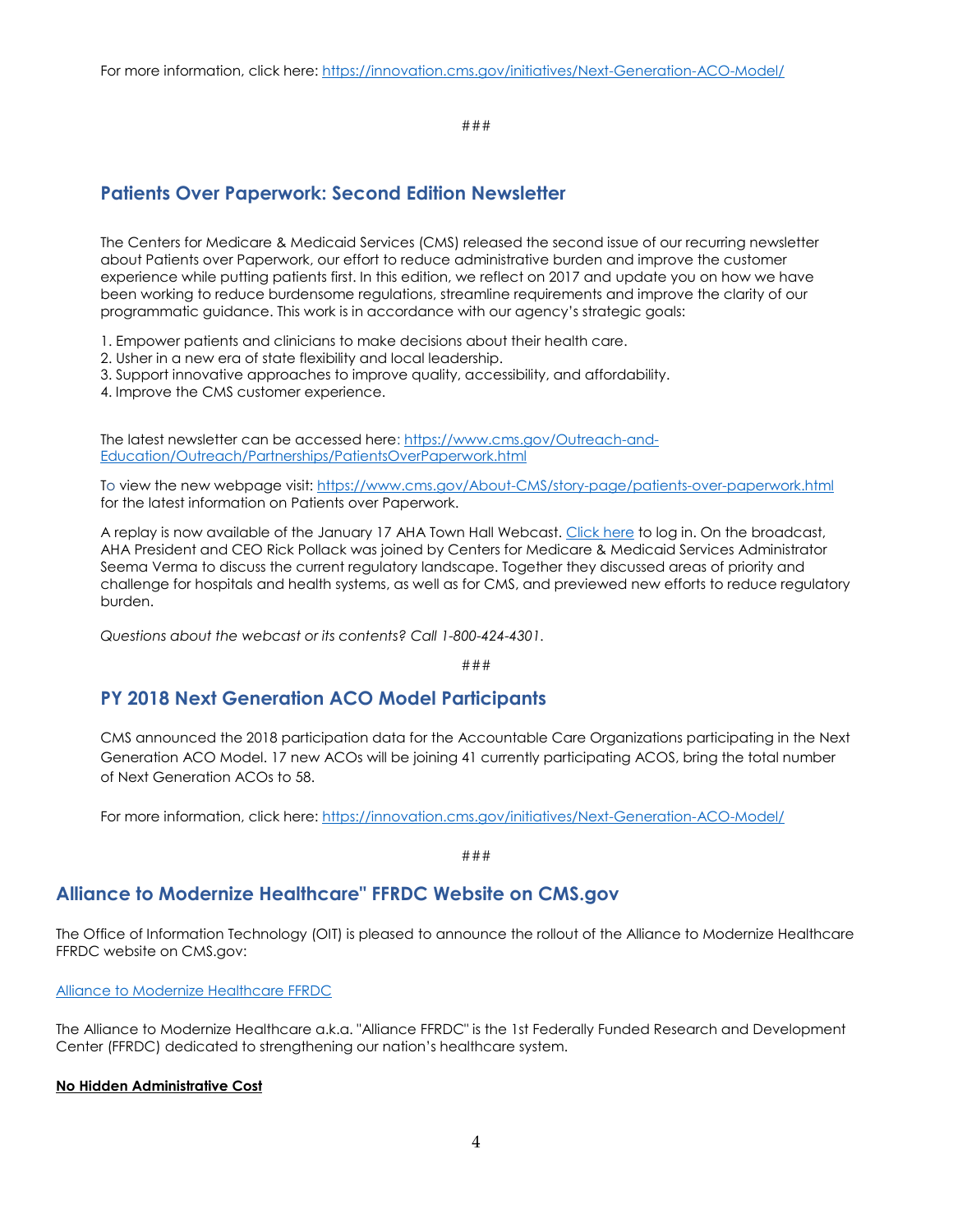###

## <span id="page-3-0"></span>**Patients Over Paperwork: Second Edition Newsletter**

The Centers for Medicare & Medicaid Services (CMS) released the second issue of our recurring newsletter about Patients over Paperwork, our effort to reduce administrative burden and improve the customer experience while putting patients first. In this edition, we reflect on 2017 and update you on how we have been working to reduce burdensome regulations, streamline requirements and improve the clarity of our programmatic guidance. This work is in accordance with our agency's strategic goals:

1. Empower patients and clinicians to make decisions about their health care.

2. Usher in a new era of state flexibility and local leadership.

3. Support innovative approaches to improve quality, accessibility, and affordability.

4. Improve the CMS customer experience.

The latest newsletter can be accessed here[: https://www.cms.gov/Outreach-and-](https://www.cms.gov/Outreach-and-Education/Outreach/Partnerships/PatientsOverPaperwork.html)[Education/Outreach/Partnerships/PatientsOverPaperwork.html](https://www.cms.gov/Outreach-and-Education/Outreach/Partnerships/PatientsOverPaperwork.html)

To view the new webpage visit:<https://www.cms.gov/About-CMS/story-page/patients-over-paperwork.html> for the latest information on Patients over Paperwork.

A replay is now available of the January 17 AHA Town Hall Webcast. [Click here](http://www.mmsend33.com/link.cfm?r=CsShOhkg41X-rjWRElTl3w~~&pe=-9zYpfbQ1dnzQioSXuTDNaS0eZWB0baVEPExwNC0By86W2dfYMXC3sxFjwB-RaKaj6cAtK_9EUF3tFc9VIHXjQ~~&t=BgriYbCTs57Ci28ruP-MFQ~~) to log in. On the broadcast, AHA President and CEO Rick Pollack was joined by Centers for Medicare & Medicaid Services Administrator Seema Verma to discuss the current regulatory landscape. Together they discussed areas of priority and challenge for hospitals and health systems, as well as for CMS, and previewed new efforts to reduce regulatory burden.

*Questions about the webcast or its contents? Call 1-800-424-4301.*

*###*

# <span id="page-3-1"></span>**PY 2018 Next Generation ACO Model Participants**

CMS announced the 2018 participation data for the Accountable Care Organizations participating in the Next Generation ACO Model. 17 new ACOs will be joining 41 currently participating ACOS, bring the total number of Next Generation ACOs to 58.

For more information, click here: <https://innovation.cms.gov/initiatives/Next-Generation-ACO-Model/>

###

## <span id="page-3-2"></span>**Alliance to Modernize Healthcare" FFRDC Website on CMS.gov**

The Office of Information Technology (OIT) is pleased to announce the rollout of the Alliance to Modernize Healthcare FFRDC website on CMS.gov:

[Alliance to Modernize Healthcare FFRDC](https://www.cms.gov/Research-Statistics-Data-and-Systems/Research/CAMH/index.html)

The Alliance to Modernize Healthcare a.k.a. "Alliance FFRDC" is the 1st Federally Funded Research and Development Center (FFRDC) dedicated to strengthening our nation's healthcare system.

### **No Hidden Administrative Cost**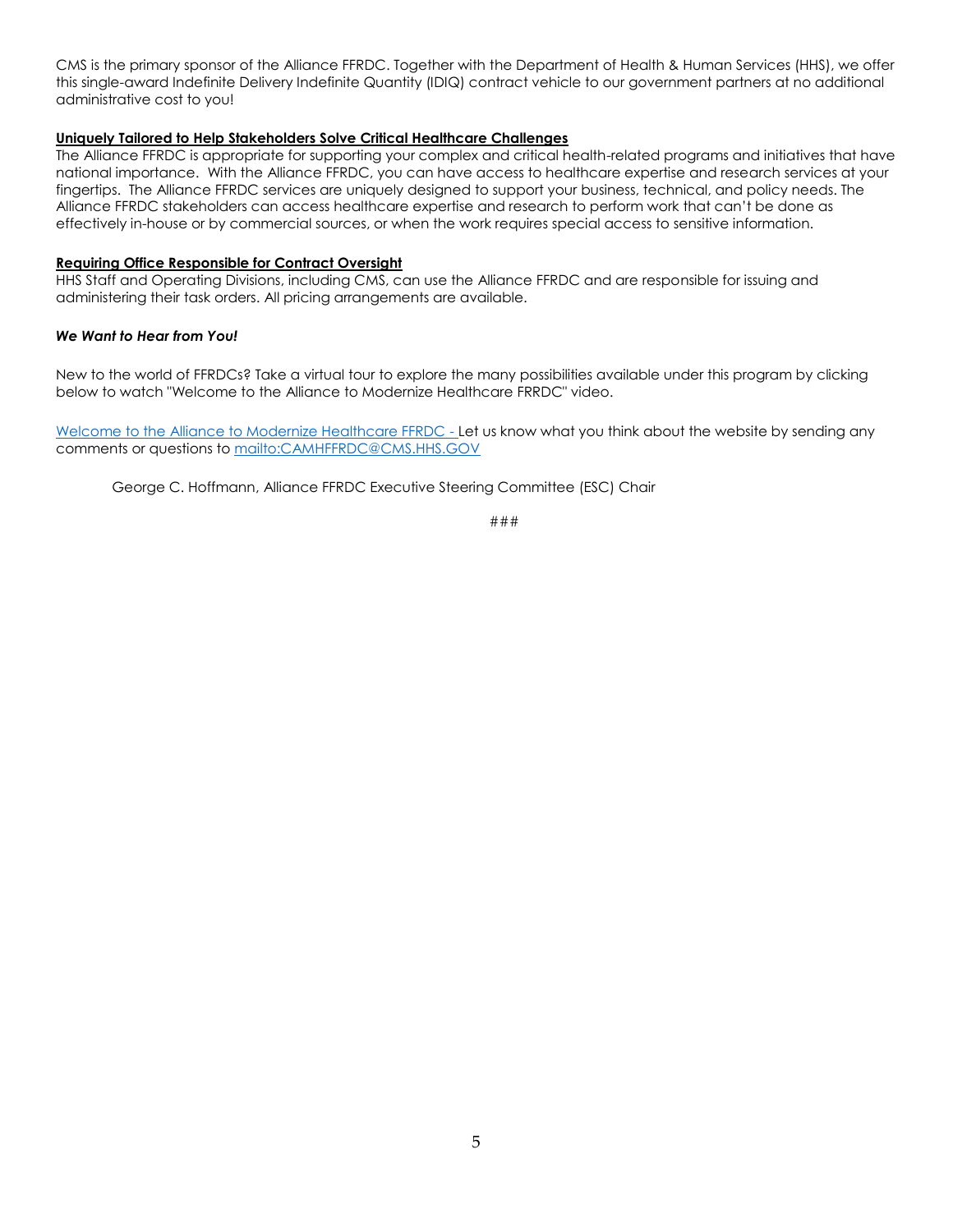CMS is the primary sponsor of the Alliance FFRDC. Together with the Department of Health & Human Services (HHS), we offer this single-award Indefinite Delivery Indefinite Quantity (IDIQ) contract vehicle to our government partners at no additional administrative cost to you!

#### **Uniquely Tailored to Help Stakeholders Solve Critical Healthcare Challenges**

The Alliance FFRDC is appropriate for supporting your complex and critical health-related programs and initiatives that have national importance. With the Alliance FFRDC, you can have access to healthcare expertise and research services at your fingertips. The Alliance FFRDC services are uniquely designed to support your business, technical, and policy needs. The Alliance FFRDC stakeholders can access healthcare expertise and research to perform work that can't be done as effectively in-house or by commercial sources, or when the work requires special access to sensitive information.

#### **Requiring Office Responsible for Contract Oversight**

HHS Staff and Operating Divisions, including CMS, can use the Alliance FFRDC and are responsible for issuing and administering their task orders. All pricing arrangements are available.

#### *We Want to Hear from You!*

New to the world of FFRDCs? Take a virtual tour to explore the many possibilities available under this program by clicking below to watch "Welcome to the Alliance to Modernize Healthcare FRRDC" video.

[Welcome to the Alliance to Modernize Healthcare FFRDC](https://youtu.be/Y983AaqHjFs) - Let us know what you think about the website by sending any comments or questions t[o mailto:CAMHFFRDC@CMS.HHS.GOV](mailto:CAMHFFRDC@CMS.HHS.GOV)

George C. Hoffmann, Alliance FFRDC Executive Steering Committee (ESC) Chair

###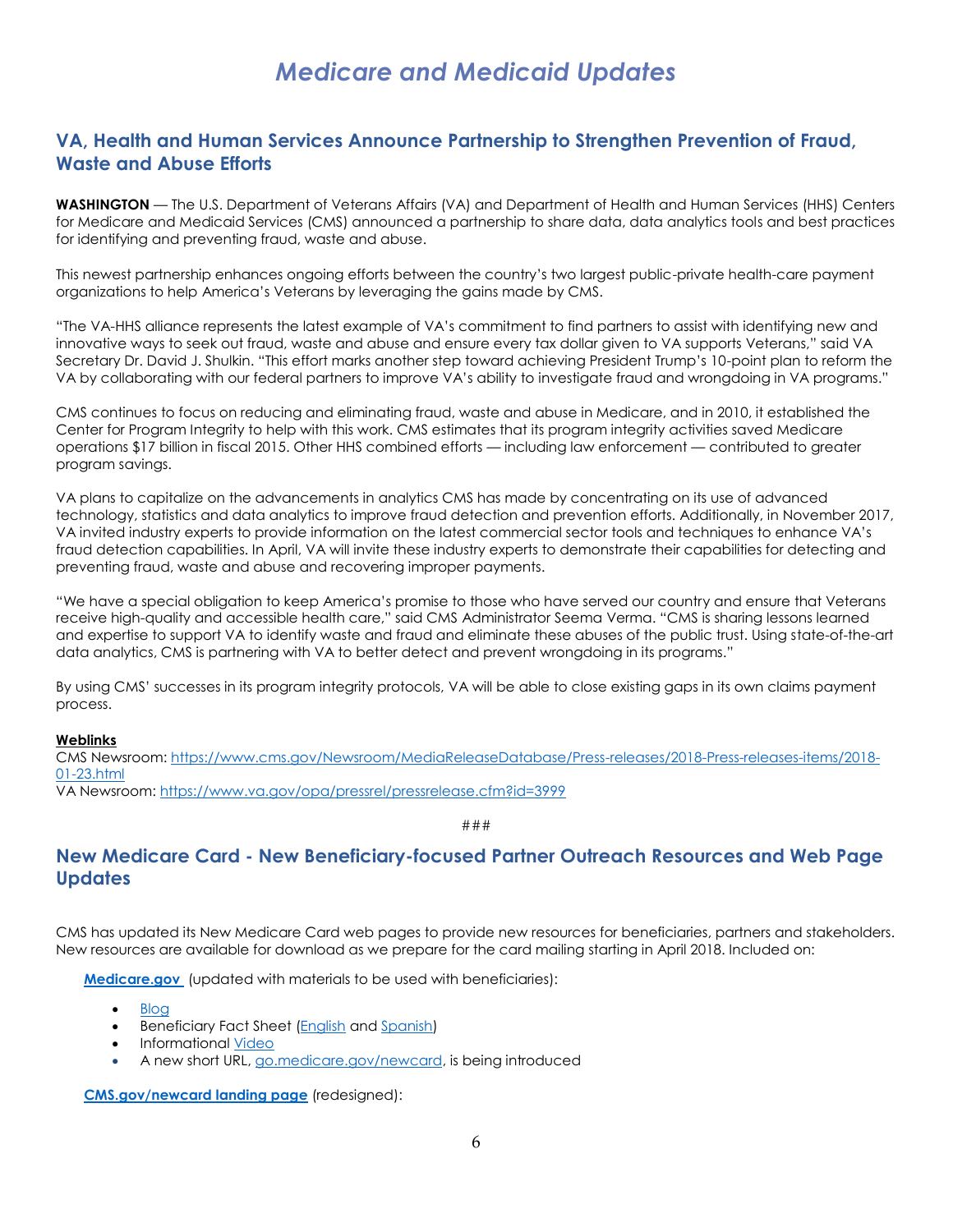# *Medicare and Medicaid Updates*

# <span id="page-5-1"></span><span id="page-5-0"></span>**VA, Health and Human Services Announce Partnership to Strengthen Prevention of Fraud, Waste and Abuse Efforts**

**WASHINGTON** — The U.S. Department of Veterans Affairs (VA) and Department of Health and Human Services (HHS) Centers for Medicare and Medicaid Services (CMS) announced a partnership to share data, data analytics tools and best practices for identifying and preventing fraud, waste and abuse.

This newest partnership enhances ongoing efforts between the country's two largest public-private health-care payment organizations to help America's Veterans by leveraging the gains made by CMS.

"The VA-HHS alliance represents the latest example of VA's commitment to find partners to assist with identifying new and innovative ways to seek out fraud, waste and abuse and ensure every tax dollar given to VA supports Veterans," said VA Secretary Dr. David J. Shulkin. "This effort marks another step toward achieving President Trump's 10-point plan to reform the VA by collaborating with our federal partners to improve VA's ability to investigate fraud and wrongdoing in VA programs."

CMS continues to focus on reducing and eliminating fraud, waste and abuse in Medicare, and in 2010, it established the Center for Program Integrity to help with this work. CMS estimates that its program integrity activities saved Medicare operations \$17 billion in fiscal 2015. Other HHS combined efforts — including law enforcement — contributed to greater program savings.

VA plans to capitalize on the advancements in analytics CMS has made by concentrating on its use of advanced technology, statistics and data analytics to improve fraud detection and prevention efforts. Additionally, in November 2017, VA invited industry experts to provide information on the latest commercial sector tools and techniques to enhance VA's fraud detection capabilities. In April, VA will invite these industry experts to demonstrate their capabilities for detecting and preventing fraud, waste and abuse and recovering improper payments.

"We have a special obligation to keep America's promise to those who have served our country and ensure that Veterans receive high-quality and accessible health care," said CMS Administrator Seema Verma. "CMS is sharing lessons learned and expertise to support VA to identify waste and fraud and eliminate these abuses of the public trust. Using state-of-the-art data analytics, CMS is partnering with VA to better detect and prevent wrongdoing in its programs."

By using CMS' successes in its program integrity protocols, VA will be able to close existing gaps in its own claims payment process.

#### **Weblinks**

CMS Newsroom: [https://www.cms.gov/Newsroom/MediaReleaseDatabase/Press-releases/2018-Press-releases-items/2018-](https://www.cms.gov/Newsroom/MediaReleaseDatabase/Press-releases/2018-Press-releases-items/2018-01-23.html) [01-23.html](https://www.cms.gov/Newsroom/MediaReleaseDatabase/Press-releases/2018-Press-releases-items/2018-01-23.html)

VA Newsroom:<https://www.va.gov/opa/pressrel/pressrelease.cfm?id=3999>

###

# <span id="page-5-2"></span>**New Medicare Card - New Beneficiary-focused Partner Outreach Resources and Web Page Updates**

CMS has updated its New Medicare Card web pages to provide new resources for beneficiaries, partners and stakeholders. New resources are available for download as we prepare for the card mailing starting in April 2018. Included on:

**[Medicare.gov](http://www.medicare.gov/)** (updated with materials to be used with beneficiaries):

- [Blog](https://blog.medicare.gov/2018/01/25/new-medicare-cards-protect-personal-information/)
- Beneficiary Fact Sheet [\(English](https://www.medicare.gov/Pubs/pdf/12018-10-Things-to-Know-About-New-Medicare-Card.pdf?) and [Spanish\)](https://www.medicare.gov/Pubs/pdf/12018-S-10-Things-to-Know-About-New-Medicare-Card.pdf?)
- Informational [Video](https://www.youtube.com/watch?v=DusRmgzQnLY)
- A new short URL, [go.medicare.gov/newcard,](https://www.medicare.gov/forms-help-and-resources/your-medicare-card.html) is being introduced

**[CMS.gov/newcard landing page](https://www.cms.gov/medicare/new-medicare-card/nmc-home.html)** (redesigned):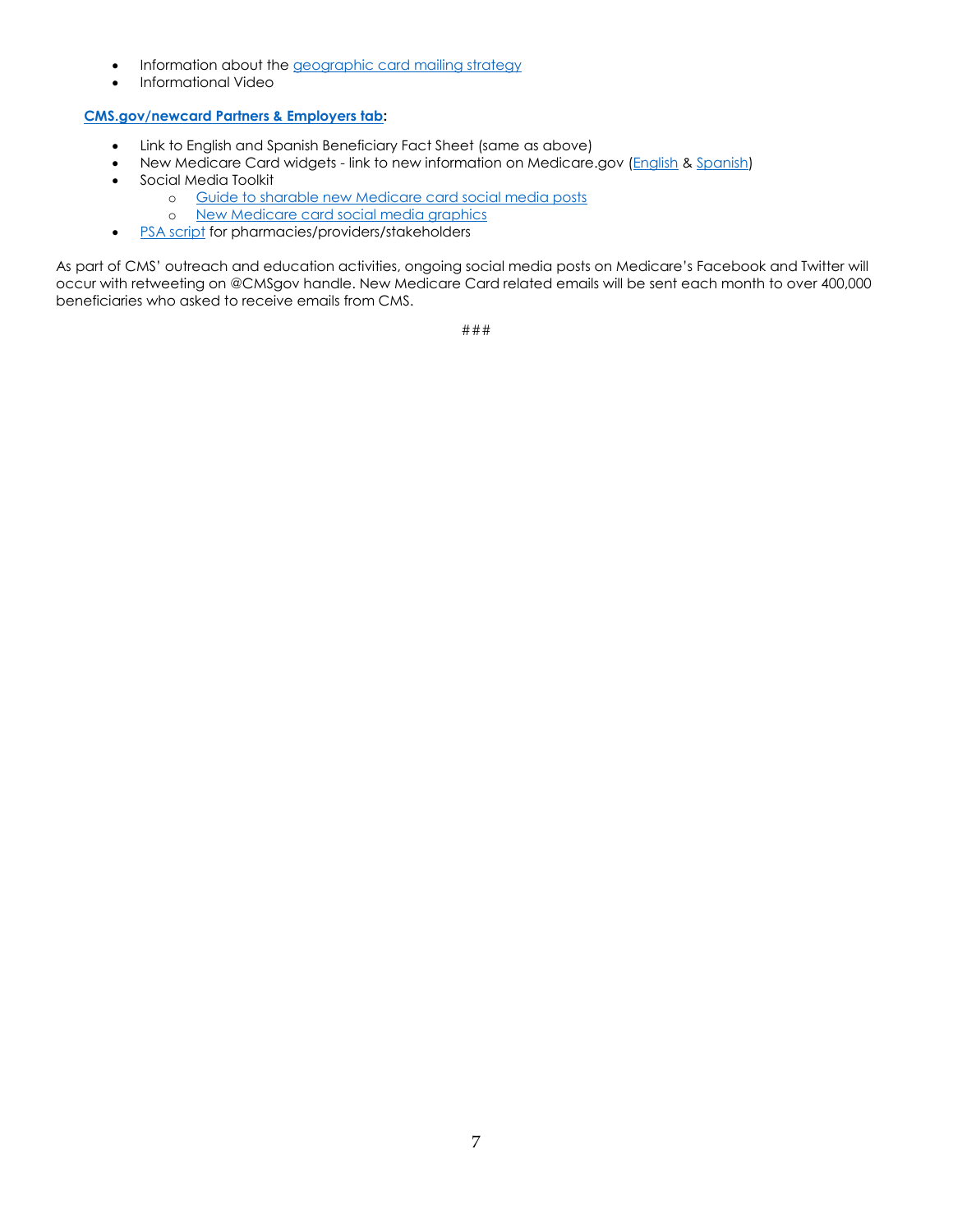- Information about the [geographic card mailing strategy](https://www.cms.gov/Medicare/New-Medicare-Card/NMC-Mailing-Strategy.pdf)
- Informational Video

## **[CMS.gov/newcard Partners & Employers tab:](https://www.cms.gov/Medicare/New-Medicare-Card/Partners-and-Employers/Partners-and-employers.html)**

- Link to English and Spanish Beneficiary Fact Sheet (same as above)
- New Medicare Card widgets link to new information on Medicare.gov [\(English](https://www.cms.gov/Medicare/New-Medicare-Card/Partners-and-Employers/English-beneficiary-widget-landing-page.html) [& Spanish\)](https://www.cms.gov/Medicare/New-Medicare-Card/Partners-and-Employers/Spanish-beneficiary-widget-landing-page.html)
- Social Media Toolkit
	- o [Guide to sharable new Medicare card social media posts](https://www.cms.gov/Medicare/New-Medicare-Card/Partners-and-Employers/NMC-Guide-to-Sharable-New-Medicare-Card-.pdf)
		- o [New Medicare card social media graphics](https://www.cms.gov/Medicare/New-Medicare-Card/Partners-and-Employers/NMC-Social-Media-Graphics.zip)
- **[PSA script](https://www.cms.gov/Medicare/New-Medicare-Card/Partners-and-Employers/NMC-PSA.PDF) for pharmacies/providers/stakeholders**

As part of CMS' outreach and education activities, ongoing social media posts on Medicare's Facebook and Twitter will occur with retweeting on @CMSgov handle. New Medicare Card related emails will be sent each month to over 400,000 beneficiaries who asked to receive emails from CMS.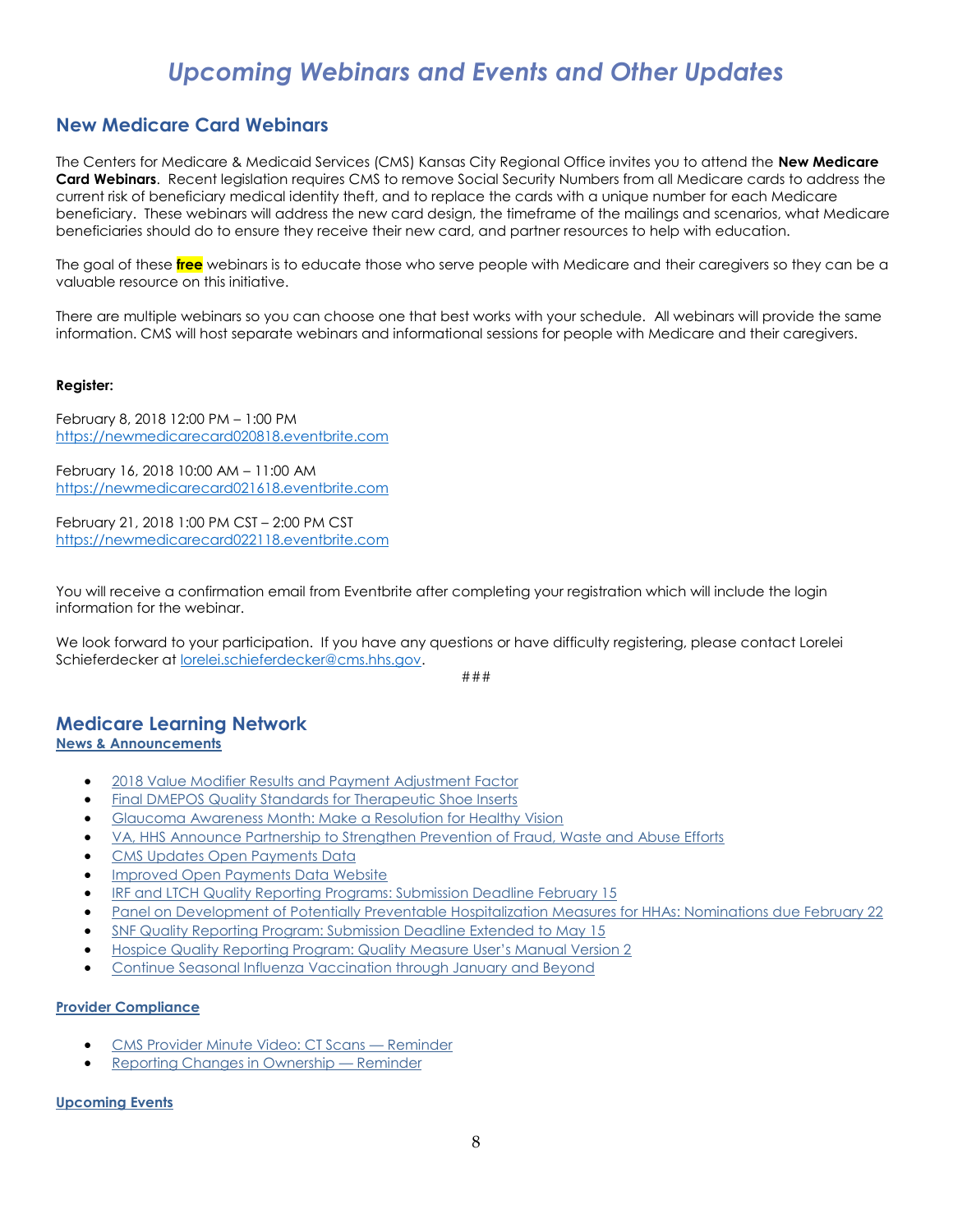# *Upcoming Webinars and Events and Other Updates*

# <span id="page-7-1"></span><span id="page-7-0"></span>**New Medicare Card Webinars**

The Centers for Medicare & Medicaid Services (CMS) Kansas City Regional Office invites you to attend the **New Medicare Card Webinars**. Recent legislation requires CMS to remove Social Security Numbers from all Medicare cards to address the current risk of beneficiary medical identity theft, and to replace the cards with a unique number for each Medicare beneficiary. These webinars will address the new card design, the timeframe of the mailings and scenarios, what Medicare beneficiaries should do to ensure they receive their new card, and partner resources to help with education.

The goal of these **free** webinars is to educate those who serve people with Medicare and their caregivers so they can be a valuable resource on this initiative.

There are multiple webinars so you can choose one that best works with your schedule. All webinars will provide the same information. CMS will host separate webinars and informational sessions for people with Medicare and their caregivers.

### **Register:**

February 8, 2018 12:00 PM – 1:00 PM [https://newmedicarecard020818.eventbrite.com](https://newmedicarecard020818.eventbrite.com/)

February 16, 2018 10:00 AM – 11:00 AM [https://newmedicarecard021618.eventbrite.com](https://newmedicarecard021618.eventbrite.com/)

February 21, 2018 1:00 PM CST – 2:00 PM CST [https://newmedicarecard022118.eventbrite.com](https://newmedicarecard022118.eventbrite.com/)

You will receive a confirmation email from Eventbrite after completing your registration which will include the login information for the webinar.

We look forward to your participation. If you have any questions or have difficulty registering, please contact Lorelei Schieferdecker at [lorelei.schieferdecker@cms.hhs.gov.](mailto:lorelei.schieferdecker@cms.hhs.gov)

###

#### <span id="page-7-2"></span>**Medicare Learning Network [News & Announcements](http://links.govdelivery.com/track?type=click&enid=ZWFzPTEmbXNpZD0mYXVpZD0mbWFpbGluZ2lkPTIwMTgwMTI1Ljg0Mjg3MTYxJm1lc3NhZ2VpZD1NREItUFJELUJVTC0yMDE4MDEyNS44NDI4NzE2MSZkYXRhYmFzZWlkPTEwMDEmc2VyaWFsPTE4MjA2MTkyJmVtYWlsaWQ9bG9yZWxlaS5zY2hpZWZlcmRlY2tlckBjbXMuaGhzLmdvdiZ1c2VyaWQ9bG9yZWxlaS5zY2hpZWZlcmRlY2tlckBjbXMuaGhzLmdvdiZ0YXJnZXRpZD0mZmw9JmV4dHJhPU11bHRpdmFyaWF0ZUlkPSYmJg==&&&101&&&https://www.cms.gov/Outreach-and-Education/Outreach/FFSProvPartProg/Provider-Partnership-Email-Archive-Items/2018-01-25-eNews.html?DLPage=1&DLEntries=10&DLSort=0&DLSortDir=descending#_Toc504548610)**

- [2018 Value Modifier Results and Payment Adjustment Factor](http://links.govdelivery.com/track?type=click&enid=ZWFzPTEmbXNpZD0mYXVpZD0mbWFpbGluZ2lkPTIwMTgwMTE4LjgzOTIxNjUxJm1lc3NhZ2VpZD1NREItUFJELUJVTC0yMDE4MDExOC44MzkyMTY1MSZkYXRhYmFzZWlkPTEwMDEmc2VyaWFsPTE4MTk4NjY1JmVtYWlsaWQ9bG9yZWxlaS5zY2hpZWZlcmRlY2tlckBjbXMuaGhzLmdvdiZ1c2VyaWQ9bG9yZWxlaS5zY2hpZWZlcmRlY2tlckBjbXMuaGhzLmdvdiZ0YXJnZXRpZD0mZmw9JmV4dHJhPU11bHRpdmFyaWF0ZUlkPSYmJg==&&&101&&&https://www.cms.gov/Outreach-and-Education/Outreach/FFSProvPartProg/Provider-Partnership-Email-Archive-Items/2018-01-18-eNews.html?DLPage=1&DLEntries=10&DLSort=0&DLSortDir=descending#_Toc503949821)
- [Final DMEPOS Quality Standards for Therapeutic Shoe Inserts](http://links.govdelivery.com/track?type=click&enid=ZWFzPTEmbXNpZD0mYXVpZD0mbWFpbGluZ2lkPTIwMTgwMTE4LjgzOTIxNjUxJm1lc3NhZ2VpZD1NREItUFJELUJVTC0yMDE4MDExOC44MzkyMTY1MSZkYXRhYmFzZWlkPTEwMDEmc2VyaWFsPTE4MTk4NjY1JmVtYWlsaWQ9bG9yZWxlaS5zY2hpZWZlcmRlY2tlckBjbXMuaGhzLmdvdiZ1c2VyaWQ9bG9yZWxlaS5zY2hpZWZlcmRlY2tlckBjbXMuaGhzLmdvdiZ0YXJnZXRpZD0mZmw9JmV4dHJhPU11bHRpdmFyaWF0ZUlkPSYmJg==&&&102&&&https://www.cms.gov/Outreach-and-Education/Outreach/FFSProvPartProg/Provider-Partnership-Email-Archive-Items/2018-01-18-eNews.html?DLPage=1&DLEntries=10&DLSort=0&DLSortDir=descending#_Toc503949822)
- [Glaucoma Awareness Month: Make a Resolution for Healthy Vision](http://links.govdelivery.com/track?type=click&enid=ZWFzPTEmbXNpZD0mYXVpZD0mbWFpbGluZ2lkPTIwMTgwMTE4LjgzOTIxNjUxJm1lc3NhZ2VpZD1NREItUFJELUJVTC0yMDE4MDExOC44MzkyMTY1MSZkYXRhYmFzZWlkPTEwMDEmc2VyaWFsPTE4MTk4NjY1JmVtYWlsaWQ9bG9yZWxlaS5zY2hpZWZlcmRlY2tlckBjbXMuaGhzLmdvdiZ1c2VyaWQ9bG9yZWxlaS5zY2hpZWZlcmRlY2tlckBjbXMuaGhzLmdvdiZ0YXJnZXRpZD0mZmw9JmV4dHJhPU11bHRpdmFyaWF0ZUlkPSYmJg==&&&103&&&https://www.cms.gov/Outreach-and-Education/Outreach/FFSProvPartProg/Provider-Partnership-Email-Archive-Items/2018-01-18-eNews.html?DLPage=1&DLEntries=10&DLSort=0&DLSortDir=descending#_Toc503949823)
- [VA, HHS Announce Partnership to Strengthen Prevention of Fraud, Waste and Abuse Efforts](http://links.govdelivery.com/track?type=click&enid=ZWFzPTEmbXNpZD0mYXVpZD0mbWFpbGluZ2lkPTIwMTgwMTI1Ljg0Mjg3MTYxJm1lc3NhZ2VpZD1NREItUFJELUJVTC0yMDE4MDEyNS44NDI4NzE2MSZkYXRhYmFzZWlkPTEwMDEmc2VyaWFsPTE4MjA2MTkyJmVtYWlsaWQ9bG9yZWxlaS5zY2hpZWZlcmRlY2tlckBjbXMuaGhzLmdvdiZ1c2VyaWQ9bG9yZWxlaS5zY2hpZWZlcmRlY2tlckBjbXMuaGhzLmdvdiZ0YXJnZXRpZD0mZmw9JmV4dHJhPU11bHRpdmFyaWF0ZUlkPSYmJg==&&&102&&&https://www.cms.gov/Outreach-and-Education/Outreach/FFSProvPartProg/Provider-Partnership-Email-Archive-Items/2018-01-25-eNews.html?DLPage=1&DLEntries=10&DLSort=0&DLSortDir=descending#_Toc504548611)
- CMS [Updates Open Payments Data](http://links.govdelivery.com/track?type=click&enid=ZWFzPTEmbXNpZD0mYXVpZD0mbWFpbGluZ2lkPTIwMTgwMTI1Ljg0Mjg3MTYxJm1lc3NhZ2VpZD1NREItUFJELUJVTC0yMDE4MDEyNS44NDI4NzE2MSZkYXRhYmFzZWlkPTEwMDEmc2VyaWFsPTE4MjA2MTkyJmVtYWlsaWQ9bG9yZWxlaS5zY2hpZWZlcmRlY2tlckBjbXMuaGhzLmdvdiZ1c2VyaWQ9bG9yZWxlaS5zY2hpZWZlcmRlY2tlckBjbXMuaGhzLmdvdiZ0YXJnZXRpZD0mZmw9JmV4dHJhPU11bHRpdmFyaWF0ZUlkPSYmJg==&&&103&&&https://www.cms.gov/Outreach-and-Education/Outreach/FFSProvPartProg/Provider-Partnership-Email-Archive-Items/2018-01-25-eNews.html?DLPage=1&DLEntries=10&DLSort=0&DLSortDir=descending#_Toc504548612)
- [Improved Open Payments Data Website](http://links.govdelivery.com/track?type=click&enid=ZWFzPTEmbXNpZD0mYXVpZD0mbWFpbGluZ2lkPTIwMTgwMTI1Ljg0Mjg3MTYxJm1lc3NhZ2VpZD1NREItUFJELUJVTC0yMDE4MDEyNS44NDI4NzE2MSZkYXRhYmFzZWlkPTEwMDEmc2VyaWFsPTE4MjA2MTkyJmVtYWlsaWQ9bG9yZWxlaS5zY2hpZWZlcmRlY2tlckBjbXMuaGhzLmdvdiZ1c2VyaWQ9bG9yZWxlaS5zY2hpZWZlcmRlY2tlckBjbXMuaGhzLmdvdiZ0YXJnZXRpZD0mZmw9JmV4dHJhPU11bHRpdmFyaWF0ZUlkPSYmJg==&&&104&&&https://www.cms.gov/Outreach-and-Education/Outreach/FFSProvPartProg/Provider-Partnership-Email-Archive-Items/2018-01-25-eNews.html?DLPage=1&DLEntries=10&DLSort=0&DLSortDir=descending#_Toc504548613)
- [IRF and LTCH Quality Reporting Programs: Submission Deadline February 15](http://links.govdelivery.com/track?type=click&enid=ZWFzPTEmbXNpZD0mYXVpZD0mbWFpbGluZ2lkPTIwMTgwMTI1Ljg0Mjg3MTYxJm1lc3NhZ2VpZD1NREItUFJELUJVTC0yMDE4MDEyNS44NDI4NzE2MSZkYXRhYmFzZWlkPTEwMDEmc2VyaWFsPTE4MjA2MTkyJmVtYWlsaWQ9bG9yZWxlaS5zY2hpZWZlcmRlY2tlckBjbXMuaGhzLmdvdiZ1c2VyaWQ9bG9yZWxlaS5zY2hpZWZlcmRlY2tlckBjbXMuaGhzLmdvdiZ0YXJnZXRpZD0mZmw9JmV4dHJhPU11bHRpdmFyaWF0ZUlkPSYmJg==&&&105&&&https://www.cms.gov/Outreach-and-Education/Outreach/FFSProvPartProg/Provider-Partnership-Email-Archive-Items/2018-01-25-eNews.html?DLPage=1&DLEntries=10&DLSort=0&DLSortDir=descending#_Toc504548614)
- [Panel on Development of Potentially Preventable Hospitalization Measures for HHAs: Nominations due February 22](http://links.govdelivery.com/track?type=click&enid=ZWFzPTEmbXNpZD0mYXVpZD0mbWFpbGluZ2lkPTIwMTgwMTI1Ljg0Mjg3MTYxJm1lc3NhZ2VpZD1NREItUFJELUJVTC0yMDE4MDEyNS44NDI4NzE2MSZkYXRhYmFzZWlkPTEwMDEmc2VyaWFsPTE4MjA2MTkyJmVtYWlsaWQ9bG9yZWxlaS5zY2hpZWZlcmRlY2tlckBjbXMuaGhzLmdvdiZ1c2VyaWQ9bG9yZWxlaS5zY2hpZWZlcmRlY2tlckBjbXMuaGhzLmdvdiZ0YXJnZXRpZD0mZmw9JmV4dHJhPU11bHRpdmFyaWF0ZUlkPSYmJg==&&&106&&&https://www.cms.gov/Outreach-and-Education/Outreach/FFSProvPartProg/Provider-Partnership-Email-Archive-Items/2018-01-25-eNews.html?DLPage=1&DLEntries=10&DLSort=0&DLSortDir=descending#_Toc504548615)
- [SNF Quality Reporting Program: Submission Deadline Extended to May 15](http://links.govdelivery.com/track?type=click&enid=ZWFzPTEmbXNpZD0mYXVpZD0mbWFpbGluZ2lkPTIwMTgwMTI1Ljg0Mjg3MTYxJm1lc3NhZ2VpZD1NREItUFJELUJVTC0yMDE4MDEyNS44NDI4NzE2MSZkYXRhYmFzZWlkPTEwMDEmc2VyaWFsPTE4MjA2MTkyJmVtYWlsaWQ9bG9yZWxlaS5zY2hpZWZlcmRlY2tlckBjbXMuaGhzLmdvdiZ1c2VyaWQ9bG9yZWxlaS5zY2hpZWZlcmRlY2tlckBjbXMuaGhzLmdvdiZ0YXJnZXRpZD0mZmw9JmV4dHJhPU11bHRpdmFyaWF0ZUlkPSYmJg==&&&107&&&https://www.cms.gov/Outreach-and-Education/Outreach/FFSProvPartProg/Provider-Partnership-Email-Archive-Items/2018-01-25-eNews.html?DLPage=1&DLEntries=10&DLSort=0&DLSortDir=descending#_Toc504548616)
- [Hospice Quality Reporting Program: Quality Measure User's Manual Version 2](http://links.govdelivery.com/track?type=click&enid=ZWFzPTEmbXNpZD0mYXVpZD0mbWFpbGluZ2lkPTIwMTgwMTI1Ljg0Mjg3MTYxJm1lc3NhZ2VpZD1NREItUFJELUJVTC0yMDE4MDEyNS44NDI4NzE2MSZkYXRhYmFzZWlkPTEwMDEmc2VyaWFsPTE4MjA2MTkyJmVtYWlsaWQ9bG9yZWxlaS5zY2hpZWZlcmRlY2tlckBjbXMuaGhzLmdvdiZ1c2VyaWQ9bG9yZWxlaS5zY2hpZWZlcmRlY2tlckBjbXMuaGhzLmdvdiZ0YXJnZXRpZD0mZmw9JmV4dHJhPU11bHRpdmFyaWF0ZUlkPSYmJg==&&&108&&&https://www.cms.gov/Outreach-and-Education/Outreach/FFSProvPartProg/Provider-Partnership-Email-Archive-Items/2018-01-25-eNews.html?DLPage=1&DLEntries=10&DLSort=0&DLSortDir=descending#_Toc504548617)
- [Continue Seasonal Influenza Vaccination through January and Beyond](http://links.govdelivery.com/track?type=click&enid=ZWFzPTEmbXNpZD0mYXVpZD0mbWFpbGluZ2lkPTIwMTgwMTI1Ljg0Mjg3MTYxJm1lc3NhZ2VpZD1NREItUFJELUJVTC0yMDE4MDEyNS44NDI4NzE2MSZkYXRhYmFzZWlkPTEwMDEmc2VyaWFsPTE4MjA2MTkyJmVtYWlsaWQ9bG9yZWxlaS5zY2hpZWZlcmRlY2tlckBjbXMuaGhzLmdvdiZ1c2VyaWQ9bG9yZWxlaS5zY2hpZWZlcmRlY2tlckBjbXMuaGhzLmdvdiZ0YXJnZXRpZD0mZmw9JmV4dHJhPU11bHRpdmFyaWF0ZUlkPSYmJg==&&&109&&&https://www.cms.gov/Outreach-and-Education/Outreach/FFSProvPartProg/Provider-Partnership-Email-Archive-Items/2018-01-25-eNews.html?DLPage=1&DLEntries=10&DLSort=0&DLSortDir=descending#_Toc504548618)

#### **[Provider Compliance](http://links.govdelivery.com/track?type=click&enid=ZWFzPTEmbXNpZD0mYXVpZD0mbWFpbGluZ2lkPTIwMTgwMTI1Ljg0Mjg3MTYxJm1lc3NhZ2VpZD1NREItUFJELUJVTC0yMDE4MDEyNS44NDI4NzE2MSZkYXRhYmFzZWlkPTEwMDEmc2VyaWFsPTE4MjA2MTkyJmVtYWlsaWQ9bG9yZWxlaS5zY2hpZWZlcmRlY2tlckBjbXMuaGhzLmdvdiZ1c2VyaWQ9bG9yZWxlaS5zY2hpZWZlcmRlY2tlckBjbXMuaGhzLmdvdiZ0YXJnZXRpZD0mZmw9JmV4dHJhPU11bHRpdmFyaWF0ZUlkPSYmJg==&&&110&&&https://www.cms.gov/Outreach-and-Education/Outreach/FFSProvPartProg/Provider-Partnership-Email-Archive-Items/2018-01-25-eNews.html?DLPage=1&DLEntries=10&DLSort=0&DLSortDir=descending#_Toc504548619)**

- [CMS Provider Minute Video: CT Scans](http://links.govdelivery.com/track?type=click&enid=ZWFzPTEmbXNpZD0mYXVpZD0mbWFpbGluZ2lkPTIwMTgwMTE4LjgzOTIxNjUxJm1lc3NhZ2VpZD1NREItUFJELUJVTC0yMDE4MDExOC44MzkyMTY1MSZkYXRhYmFzZWlkPTEwMDEmc2VyaWFsPTE4MTk4NjY1JmVtYWlsaWQ9bG9yZWxlaS5zY2hpZWZlcmRlY2tlckBjbXMuaGhzLmdvdiZ1c2VyaWQ9bG9yZWxlaS5zY2hpZWZlcmRlY2tlckBjbXMuaGhzLmdvdiZ0YXJnZXRpZD0mZmw9JmV4dHJhPU11bHRpdmFyaWF0ZUlkPSYmJg==&&&105&&&https://www.cms.gov/Outreach-and-Education/Outreach/FFSProvPartProg/Provider-Partnership-Email-Archive-Items/2018-01-18-eNews.html?DLPage=1&DLEntries=10&DLSort=0&DLSortDir=descending#_Toc503949825)  Reminder
- [Reporting Changes in Ownership](http://links.govdelivery.com/track?type=click&enid=ZWFzPTEmbXNpZD0mYXVpZD0mbWFpbGluZ2lkPTIwMTgwMTI1Ljg0Mjg3MTYxJm1lc3NhZ2VpZD1NREItUFJELUJVTC0yMDE4MDEyNS44NDI4NzE2MSZkYXRhYmFzZWlkPTEwMDEmc2VyaWFsPTE4MjA2MTkyJmVtYWlsaWQ9bG9yZWxlaS5zY2hpZWZlcmRlY2tlckBjbXMuaGhzLmdvdiZ1c2VyaWQ9bG9yZWxlaS5zY2hpZWZlcmRlY2tlckBjbXMuaGhzLmdvdiZ0YXJnZXRpZD0mZmw9JmV4dHJhPU11bHRpdmFyaWF0ZUlkPSYmJg==&&&111&&&https://www.cms.gov/Outreach-and-Education/Outreach/FFSProvPartProg/Provider-Partnership-Email-Archive-Items/2018-01-25-eNews.html?DLPage=1&DLEntries=10&DLSort=0&DLSortDir=descending#_Toc504548620)  Reminder

#### **[Upcoming Events](http://links.govdelivery.com/track?type=click&enid=ZWFzPTEmbXNpZD0mYXVpZD0mbWFpbGluZ2lkPTIwMTgwMTI1Ljg0Mjg3MTYxJm1lc3NhZ2VpZD1NREItUFJELUJVTC0yMDE4MDEyNS44NDI4NzE2MSZkYXRhYmFzZWlkPTEwMDEmc2VyaWFsPTE4MjA2MTkyJmVtYWlsaWQ9bG9yZWxlaS5zY2hpZWZlcmRlY2tlckBjbXMuaGhzLmdvdiZ1c2VyaWQ9bG9yZWxlaS5zY2hpZWZlcmRlY2tlckBjbXMuaGhzLmdvdiZ0YXJnZXRpZD0mZmw9JmV4dHJhPU11bHRpdmFyaWF0ZUlkPSYmJg==&&&112&&&https://www.cms.gov/Outreach-and-Education/Outreach/FFSProvPartProg/Provider-Partnership-Email-Archive-Items/2018-01-25-eNews.html?DLPage=1&DLEntries=10&DLSort=0&DLSortDir=descending#_Toc504548621)**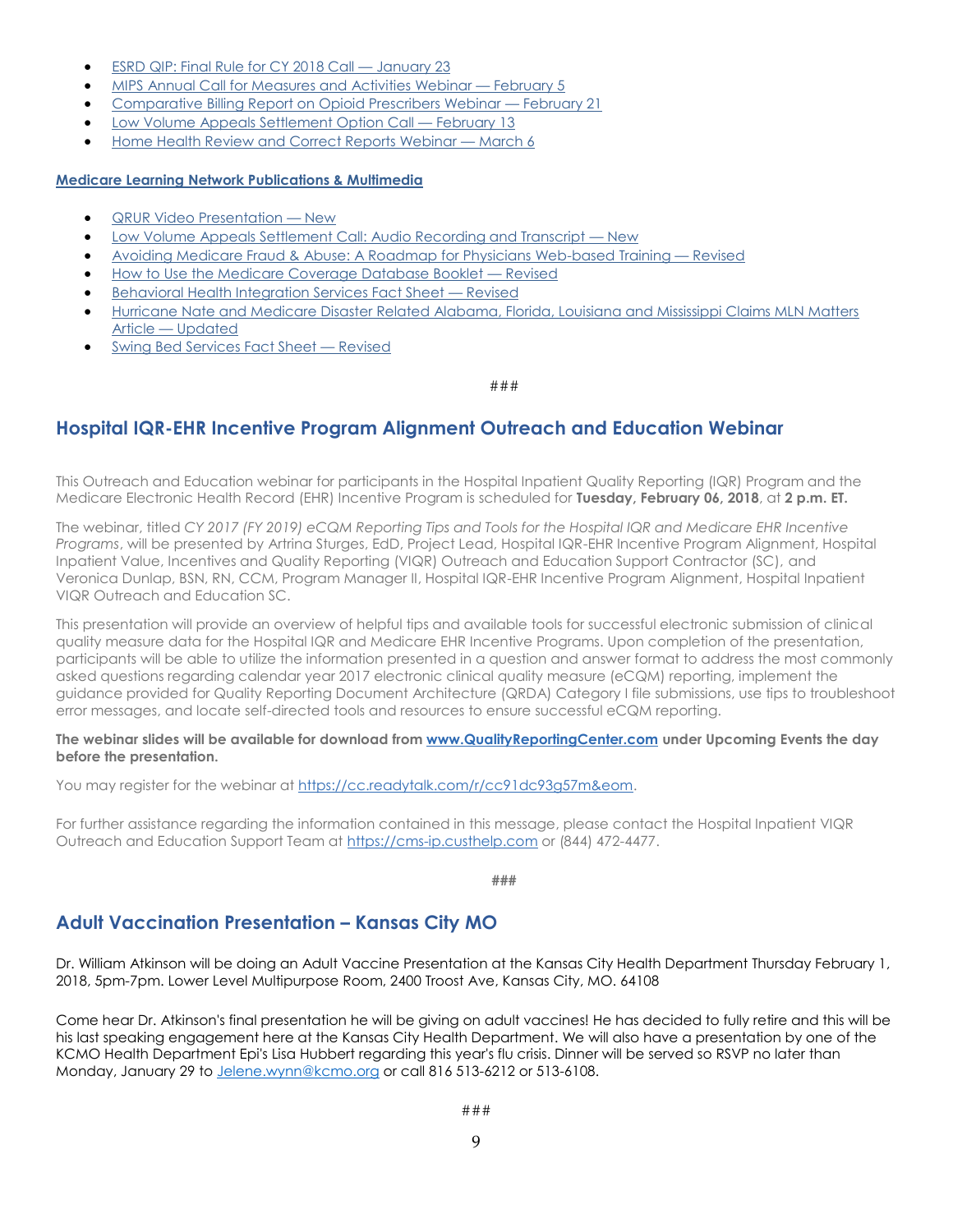- [ESRD QIP: Final Rule for CY 2018 Call](http://links.govdelivery.com/track?type=click&enid=ZWFzPTEmbXNpZD0mYXVpZD0mbWFpbGluZ2lkPTIwMTgwMTE4LjgzOTIxNjUxJm1lc3NhZ2VpZD1NREItUFJELUJVTC0yMDE4MDExOC44MzkyMTY1MSZkYXRhYmFzZWlkPTEwMDEmc2VyaWFsPTE4MTk4NjY1JmVtYWlsaWQ9bG9yZWxlaS5zY2hpZWZlcmRlY2tlckBjbXMuaGhzLmdvdiZ1c2VyaWQ9bG9yZWxlaS5zY2hpZWZlcmRlY2tlckBjbXMuaGhzLmdvdiZ0YXJnZXRpZD0mZmw9JmV4dHJhPU11bHRpdmFyaWF0ZUlkPSYmJg==&&&108&&&https://www.cms.gov/Outreach-and-Education/Outreach/FFSProvPartProg/Provider-Partnership-Email-Archive-Items/2018-01-18-eNews.html?DLPage=1&DLEntries=10&DLSort=0&DLSortDir=descending#_Toc503949828)  January 23
- [MIPS Annual Call for Measures and Activities Webinar](http://links.govdelivery.com/track?type=click&enid=ZWFzPTEmbXNpZD0mYXVpZD0mbWFpbGluZ2lkPTIwMTgwMTE4LjgzOTIxNjUxJm1lc3NhZ2VpZD1NREItUFJELUJVTC0yMDE4MDExOC44MzkyMTY1MSZkYXRhYmFzZWlkPTEwMDEmc2VyaWFsPTE4MTk4NjY1JmVtYWlsaWQ9bG9yZWxlaS5zY2hpZWZlcmRlY2tlckBjbXMuaGhzLmdvdiZ1c2VyaWQ9bG9yZWxlaS5zY2hpZWZlcmRlY2tlckBjbXMuaGhzLmdvdiZ0YXJnZXRpZD0mZmw9JmV4dHJhPU11bHRpdmFyaWF0ZUlkPSYmJg==&&&109&&&https://www.cms.gov/Outreach-and-Education/Outreach/FFSProvPartProg/Provider-Partnership-Email-Archive-Items/2018-01-18-eNews.html?DLPage=1&DLEntries=10&DLSort=0&DLSortDir=descending#_Toc503949829)  February 5
- [Comparative Billing Report on Opioid Prescribers Webinar](http://links.govdelivery.com/track?type=click&enid=ZWFzPTEmbXNpZD0mYXVpZD0mbWFpbGluZ2lkPTIwMTgwMTE4LjgzOTIxNjUxJm1lc3NhZ2VpZD1NREItUFJELUJVTC0yMDE4MDExOC44MzkyMTY1MSZkYXRhYmFzZWlkPTEwMDEmc2VyaWFsPTE4MTk4NjY1JmVtYWlsaWQ9bG9yZWxlaS5zY2hpZWZlcmRlY2tlckBjbXMuaGhzLmdvdiZ1c2VyaWQ9bG9yZWxlaS5zY2hpZWZlcmRlY2tlckBjbXMuaGhzLmdvdiZ0YXJnZXRpZD0mZmw9JmV4dHJhPU11bHRpdmFyaWF0ZUlkPSYmJg==&&&110&&&https://www.cms.gov/Outreach-and-Education/Outreach/FFSProvPartProg/Provider-Partnership-Email-Archive-Items/2018-01-18-eNews.html?DLPage=1&DLEntries=10&DLSort=0&DLSortDir=descending#_Toc503949830)  February 21
- [Low Volume Appeals Settlement Option Call](http://links.govdelivery.com/track?type=click&enid=ZWFzPTEmbXNpZD0mYXVpZD0mbWFpbGluZ2lkPTIwMTgwMTI1Ljg0Mjg3MTYxJm1lc3NhZ2VpZD1NREItUFJELUJVTC0yMDE4MDEyNS44NDI4NzE2MSZkYXRhYmFzZWlkPTEwMDEmc2VyaWFsPTE4MjA2MTkyJmVtYWlsaWQ9bG9yZWxlaS5zY2hpZWZlcmRlY2tlckBjbXMuaGhzLmdvdiZ1c2VyaWQ9bG9yZWxlaS5zY2hpZWZlcmRlY2tlckBjbXMuaGhzLmdvdiZ0YXJnZXRpZD0mZmw9JmV4dHJhPU11bHRpdmFyaWF0ZUlkPSYmJg==&&&113&&&https://www.cms.gov/Outreach-and-Education/Outreach/FFSProvPartProg/Provider-Partnership-Email-Archive-Items/2018-01-25-eNews.html?DLPage=1&DLEntries=10&DLSort=0&DLSortDir=descending#_Toc504548622)  February 13
- [Home Health Review and Correct Reports Webinar](http://links.govdelivery.com/track?type=click&enid=ZWFzPTEmbXNpZD0mYXVpZD0mbWFpbGluZ2lkPTIwMTgwMTI1Ljg0Mjg3MTYxJm1lc3NhZ2VpZD1NREItUFJELUJVTC0yMDE4MDEyNS44NDI4NzE2MSZkYXRhYmFzZWlkPTEwMDEmc2VyaWFsPTE4MjA2MTkyJmVtYWlsaWQ9bG9yZWxlaS5zY2hpZWZlcmRlY2tlckBjbXMuaGhzLmdvdiZ1c2VyaWQ9bG9yZWxlaS5zY2hpZWZlcmRlY2tlckBjbXMuaGhzLmdvdiZ0YXJnZXRpZD0mZmw9JmV4dHJhPU11bHRpdmFyaWF0ZUlkPSYmJg==&&&114&&&https://www.cms.gov/Outreach-and-Education/Outreach/FFSProvPartProg/Provider-Partnership-Email-Archive-Items/2018-01-25-eNews.html?DLPage=1&DLEntries=10&DLSort=0&DLSortDir=descending#_Toc504548623)  March 6

### **[Medicare Learning Network Publications & Multimedia](http://links.govdelivery.com/track?type=click&enid=ZWFzPTEmbXNpZD0mYXVpZD0mbWFpbGluZ2lkPTIwMTgwMTI1Ljg0Mjg3MTYxJm1lc3NhZ2VpZD1NREItUFJELUJVTC0yMDE4MDEyNS44NDI4NzE2MSZkYXRhYmFzZWlkPTEwMDEmc2VyaWFsPTE4MjA2MTkyJmVtYWlsaWQ9bG9yZWxlaS5zY2hpZWZlcmRlY2tlckBjbXMuaGhzLmdvdiZ1c2VyaWQ9bG9yZWxlaS5zY2hpZWZlcmRlY2tlckBjbXMuaGhzLmdvdiZ0YXJnZXRpZD0mZmw9JmV4dHJhPU11bHRpdmFyaWF0ZUlkPSYmJg==&&&115&&&https://www.cms.gov/Outreach-and-Education/Outreach/FFSProvPartProg/Provider-Partnership-Email-Archive-Items/2018-01-25-eNews.html?DLPage=1&DLEntries=10&DLSort=0&DLSortDir=descending#_Toc504548624)**

- [QRUR Video Presentation](http://links.govdelivery.com/track?type=click&enid=ZWFzPTEmbXNpZD0mYXVpZD0mbWFpbGluZ2lkPTIwMTgwMTE4LjgzOTIxNjUxJm1lc3NhZ2VpZD1NREItUFJELUJVTC0yMDE4MDExOC44MzkyMTY1MSZkYXRhYmFzZWlkPTEwMDEmc2VyaWFsPTE4MTk4NjY1JmVtYWlsaWQ9bG9yZWxlaS5zY2hpZWZlcmRlY2tlckBjbXMuaGhzLmdvdiZ1c2VyaWQ9bG9yZWxlaS5zY2hpZWZlcmRlY2tlckBjbXMuaGhzLmdvdiZ0YXJnZXRpZD0mZmw9JmV4dHJhPU11bHRpdmFyaWF0ZUlkPSYmJg==&&&112&&&https://www.cms.gov/Outreach-and-Education/Outreach/FFSProvPartProg/Provider-Partnership-Email-Archive-Items/2018-01-18-eNews.html?DLPage=1&DLEntries=10&DLSort=0&DLSortDir=descending#_Toc503949832)  New
- [Low Volume Appeals Settlement Call: Audio Recording and Transcript](http://links.govdelivery.com/track?type=click&enid=ZWFzPTEmbXNpZD0mYXVpZD0mbWFpbGluZ2lkPTIwMTgwMTE4LjgzOTIxNjUxJm1lc3NhZ2VpZD1NREItUFJELUJVTC0yMDE4MDExOC44MzkyMTY1MSZkYXRhYmFzZWlkPTEwMDEmc2VyaWFsPTE4MTk4NjY1JmVtYWlsaWQ9bG9yZWxlaS5zY2hpZWZlcmRlY2tlckBjbXMuaGhzLmdvdiZ1c2VyaWQ9bG9yZWxlaS5zY2hpZWZlcmRlY2tlckBjbXMuaGhzLmdvdiZ0YXJnZXRpZD0mZmw9JmV4dHJhPU11bHRpdmFyaWF0ZUlkPSYmJg==&&&113&&&https://www.cms.gov/Outreach-and-Education/Outreach/FFSProvPartProg/Provider-Partnership-Email-Archive-Items/2018-01-18-eNews.html?DLPage=1&DLEntries=10&DLSort=0&DLSortDir=descending#_Toc503949833)  New
- Avoiding [Medicare Fraud & Abuse: A Roadmap for Physicians Web-based Training](http://links.govdelivery.com/track?type=click&enid=ZWFzPTEmbXNpZD0mYXVpZD0mbWFpbGluZ2lkPTIwMTgwMTE4LjgzOTIxNjUxJm1lc3NhZ2VpZD1NREItUFJELUJVTC0yMDE4MDExOC44MzkyMTY1MSZkYXRhYmFzZWlkPTEwMDEmc2VyaWFsPTE4MTk4NjY1JmVtYWlsaWQ9bG9yZWxlaS5zY2hpZWZlcmRlY2tlckBjbXMuaGhzLmdvdiZ1c2VyaWQ9bG9yZWxlaS5zY2hpZWZlcmRlY2tlckBjbXMuaGhzLmdvdiZ0YXJnZXRpZD0mZmw9JmV4dHJhPU11bHRpdmFyaWF0ZUlkPSYmJg==&&&114&&&https://www.cms.gov/Outreach-and-Education/Outreach/FFSProvPartProg/Provider-Partnership-Email-Archive-Items/2018-01-18-eNews.html?DLPage=1&DLEntries=10&DLSort=0&DLSortDir=descending#_Toc503949834)  Revised
- [How to Use the Medicare Coverage Database Booklet](http://links.govdelivery.com/track?type=click&enid=ZWFzPTEmbXNpZD0mYXVpZD0mbWFpbGluZ2lkPTIwMTgwMTE4LjgzOTIxNjUxJm1lc3NhZ2VpZD1NREItUFJELUJVTC0yMDE4MDExOC44MzkyMTY1MSZkYXRhYmFzZWlkPTEwMDEmc2VyaWFsPTE4MTk4NjY1JmVtYWlsaWQ9bG9yZWxlaS5zY2hpZWZlcmRlY2tlckBjbXMuaGhzLmdvdiZ1c2VyaWQ9bG9yZWxlaS5zY2hpZWZlcmRlY2tlckBjbXMuaGhzLmdvdiZ0YXJnZXRpZD0mZmw9JmV4dHJhPU11bHRpdmFyaWF0ZUlkPSYmJg==&&&115&&&https://www.cms.gov/Outreach-and-Education/Outreach/FFSProvPartProg/Provider-Partnership-Email-Archive-Items/2018-01-18-eNews.html?DLPage=1&DLEntries=10&DLSort=0&DLSortDir=descending#_Toc503949835)  Revised
- [Behavioral Health Integration Services Fact Sheet](http://links.govdelivery.com/track?type=click&enid=ZWFzPTEmbXNpZD0mYXVpZD0mbWFpbGluZ2lkPTIwMTgwMTE4LjgzOTIxNjUxJm1lc3NhZ2VpZD1NREItUFJELUJVTC0yMDE4MDExOC44MzkyMTY1MSZkYXRhYmFzZWlkPTEwMDEmc2VyaWFsPTE4MTk4NjY1JmVtYWlsaWQ9bG9yZWxlaS5zY2hpZWZlcmRlY2tlckBjbXMuaGhzLmdvdiZ1c2VyaWQ9bG9yZWxlaS5zY2hpZWZlcmRlY2tlckBjbXMuaGhzLmdvdiZ0YXJnZXRpZD0mZmw9JmV4dHJhPU11bHRpdmFyaWF0ZUlkPSYmJg==&&&116&&&https://www.cms.gov/Outreach-and-Education/Outreach/FFSProvPartProg/Provider-Partnership-Email-Archive-Items/2018-01-18-eNews.html?DLPage=1&DLEntries=10&DLSort=0&DLSortDir=descending#_Toc503949836)  Revised
- [Hurricane Nate and Medicare Disaster Related Alabama, Florida, Louisiana and Mississippi Claims MLN Matters](http://links.govdelivery.com/track?type=click&enid=ZWFzPTEmbXNpZD0mYXVpZD0mbWFpbGluZ2lkPTIwMTgwMTI1Ljg0Mjg3MTYxJm1lc3NhZ2VpZD1NREItUFJELUJVTC0yMDE4MDEyNS44NDI4NzE2MSZkYXRhYmFzZWlkPTEwMDEmc2VyaWFsPTE4MjA2MTkyJmVtYWlsaWQ9bG9yZWxlaS5zY2hpZWZlcmRlY2tlckBjbXMuaGhzLmdvdiZ1c2VyaWQ9bG9yZWxlaS5zY2hpZWZlcmRlY2tlckBjbXMuaGhzLmdvdiZ0YXJnZXRpZD0mZmw9JmV4dHJhPU11bHRpdmFyaWF0ZUlkPSYmJg==&&&117&&&https://www.cms.gov/Outreach-and-Education/Outreach/FFSProvPartProg/Provider-Partnership-Email-Archive-Items/2018-01-25-eNews.html?DLPage=1&DLEntries=10&DLSort=0&DLSortDir=descending#_Toc504548626)  Article — [Updated](http://links.govdelivery.com/track?type=click&enid=ZWFzPTEmbXNpZD0mYXVpZD0mbWFpbGluZ2lkPTIwMTgwMTI1Ljg0Mjg3MTYxJm1lc3NhZ2VpZD1NREItUFJELUJVTC0yMDE4MDEyNS44NDI4NzE2MSZkYXRhYmFzZWlkPTEwMDEmc2VyaWFsPTE4MjA2MTkyJmVtYWlsaWQ9bG9yZWxlaS5zY2hpZWZlcmRlY2tlckBjbXMuaGhzLmdvdiZ1c2VyaWQ9bG9yZWxlaS5zY2hpZWZlcmRlY2tlckBjbXMuaGhzLmdvdiZ0YXJnZXRpZD0mZmw9JmV4dHJhPU11bHRpdmFyaWF0ZUlkPSYmJg==&&&117&&&https://www.cms.gov/Outreach-and-Education/Outreach/FFSProvPartProg/Provider-Partnership-Email-Archive-Items/2018-01-25-eNews.html?DLPage=1&DLEntries=10&DLSort=0&DLSortDir=descending#_Toc504548626)
- [Swing Bed Services Fact Sheet](http://links.govdelivery.com/track?type=click&enid=ZWFzPTEmbXNpZD0mYXVpZD0mbWFpbGluZ2lkPTIwMTgwMTI1Ljg0Mjg3MTYxJm1lc3NhZ2VpZD1NREItUFJELUJVTC0yMDE4MDEyNS44NDI4NzE2MSZkYXRhYmFzZWlkPTEwMDEmc2VyaWFsPTE4MjA2MTkyJmVtYWlsaWQ9bG9yZWxlaS5zY2hpZWZlcmRlY2tlckBjbXMuaGhzLmdvdiZ1c2VyaWQ9bG9yZWxlaS5zY2hpZWZlcmRlY2tlckBjbXMuaGhzLmdvdiZ0YXJnZXRpZD0mZmw9JmV4dHJhPU11bHRpdmFyaWF0ZUlkPSYmJg==&&&118&&&https://www.cms.gov/Outreach-and-Education/Outreach/FFSProvPartProg/Provider-Partnership-Email-Archive-Items/2018-01-25-eNews.html?DLPage=1&DLEntries=10&DLSort=0&DLSortDir=descending#_Toc504548627)  Revised

###

# <span id="page-8-0"></span>**Hospital IQR-EHR Incentive Program Alignment Outreach and Education Webinar**

This Outreach and Education webinar for participants in the Hospital Inpatient Quality Reporting (IQR) Program and the Medicare Electronic Health Record (EHR) Incentive Program is scheduled for **Tuesday, February 06, 2018**, at **2 p.m. ET.**

The webinar, titled *CY 2017 (FY 2019) eCQM Reporting Tips and Tools for the Hospital IQR and Medicare EHR Incentive Programs*, will be presented by Artrina Sturges, EdD, Project Lead, Hospital IQR-EHR Incentive Program Alignment, Hospital Inpatient Value, Incentives and Quality Reporting (VIQR) Outreach and Education Support Contractor (SC), and Veronica Dunlap, BSN, RN, CCM, Program Manager II, Hospital IQR-EHR Incentive Program Alignment, Hospital Inpatient VIQR Outreach and Education SC.

This presentation will provide an overview of helpful tips and available tools for successful electronic submission of clinical quality measure data for the Hospital IQR and Medicare EHR Incentive Programs. Upon completion of the presentation, participants will be able to utilize the information presented in a question and answer format to address the most commonly asked questions regarding calendar year 2017 electronic clinical quality measure (eCQM) reporting, implement the guidance provided for Quality Reporting Document Architecture (QRDA) Category I file submissions, use tips to troubleshoot error messages, and locate self-directed tools and resources to ensure successful eCQM reporting.

#### **The webinar slides will be available for download from [www.QualityReportingCenter.com](http://links.govdelivery.com/track?type=click&enid=ZWFzPTEmbXNpZD0mYXVpZD0mbWFpbGluZ2lkPTIwMTgwMTI0Ljg0MjIyODcxJm1lc3NhZ2VpZD1NREItUFJELUJVTC0yMDE4MDEyNC44NDIyMjg3MSZkYXRhYmFzZWlkPTEwMDEmc2VyaWFsPTE4MjA1MjQ5JmVtYWlsaWQ9bG9yZWxlaS5zY2hpZWZlcmRlY2tlckBjbXMuaGhzLmdvdiZ1c2VyaWQ9bG9yZWxlaS5zY2hpZWZlcmRlY2tlckBjbXMuaGhzLmdvdiZ0YXJnZXRpZD0mZmw9JmV4dHJhPU11bHRpdmFyaWF0ZUlkPSYmJg==&&&100&&&http://www.qualityreportingcenter.com/) under Upcoming Events the day before the presentation.**

You may register for the webinar a[t https://cc.readytalk.com/r/cc91dc93g57m&eom.](http://links.govdelivery.com/track?type=click&enid=ZWFzPTEmbXNpZD0mYXVpZD0mbWFpbGluZ2lkPTIwMTgwMTI0Ljg0MjIyODcxJm1lc3NhZ2VpZD1NREItUFJELUJVTC0yMDE4MDEyNC44NDIyMjg3MSZkYXRhYmFzZWlkPTEwMDEmc2VyaWFsPTE4MjA1MjQ5JmVtYWlsaWQ9bG9yZWxlaS5zY2hpZWZlcmRlY2tlckBjbXMuaGhzLmdvdiZ1c2VyaWQ9bG9yZWxlaS5zY2hpZWZlcmRlY2tlckBjbXMuaGhzLmdvdiZ0YXJnZXRpZD0mZmw9JmV4dHJhPU11bHRpdmFyaWF0ZUlkPSYmJg==&&&101&&&https://cc.readytalk.com/registration/#/?meeting=pf5buerzdco7&campaign=cc91dc93g57m)

For further assistance regarding the information contained in this message, please contact the Hospital Inpatient VIQR Outreach and Education Support Team at [https://cms-ip.custhelp.com](http://links.govdelivery.com/track?type=click&enid=ZWFzPTEmbXNpZD0mYXVpZD0mbWFpbGluZ2lkPTIwMTgwMTI0Ljg0MjIyODcxJm1lc3NhZ2VpZD1NREItUFJELUJVTC0yMDE4MDEyNC44NDIyMjg3MSZkYXRhYmFzZWlkPTEwMDEmc2VyaWFsPTE4MjA1MjQ5JmVtYWlsaWQ9bG9yZWxlaS5zY2hpZWZlcmRlY2tlckBjbXMuaGhzLmdvdiZ1c2VyaWQ9bG9yZWxlaS5zY2hpZWZlcmRlY2tlckBjbXMuaGhzLmdvdiZ0YXJnZXRpZD0mZmw9JmV4dHJhPU11bHRpdmFyaWF0ZUlkPSYmJg==&&&102&&&https://cms-ip.custhelp.com/) or (844) 472-4477.

**###**

# <span id="page-8-1"></span>**Adult Vaccination Presentation – Kansas City MO**

Dr. William Atkinson will be doing an Adult Vaccine Presentation at the Kansas City Health Department Thursday February 1, 2018, 5pm-7pm. Lower Level Multipurpose Room, 2400 Troost Ave, Kansas City, MO. 64108

Come hear Dr. Atkinson's final presentation he will be giving on adult vaccines! He has decided to fully retire and this will be his last speaking engagement here at the Kansas City Health Department. We will also have a presentation by one of the KCMO Health Department Epi's Lisa Hubbert regarding this year's flu crisis. Dinner will be served so RSVP no later than Monday, January 29 to [Jelene.wynn@kcmo.org](mailto:Jelene.wynn@kcmo.org) or call 816 513-6212 or 513-6108.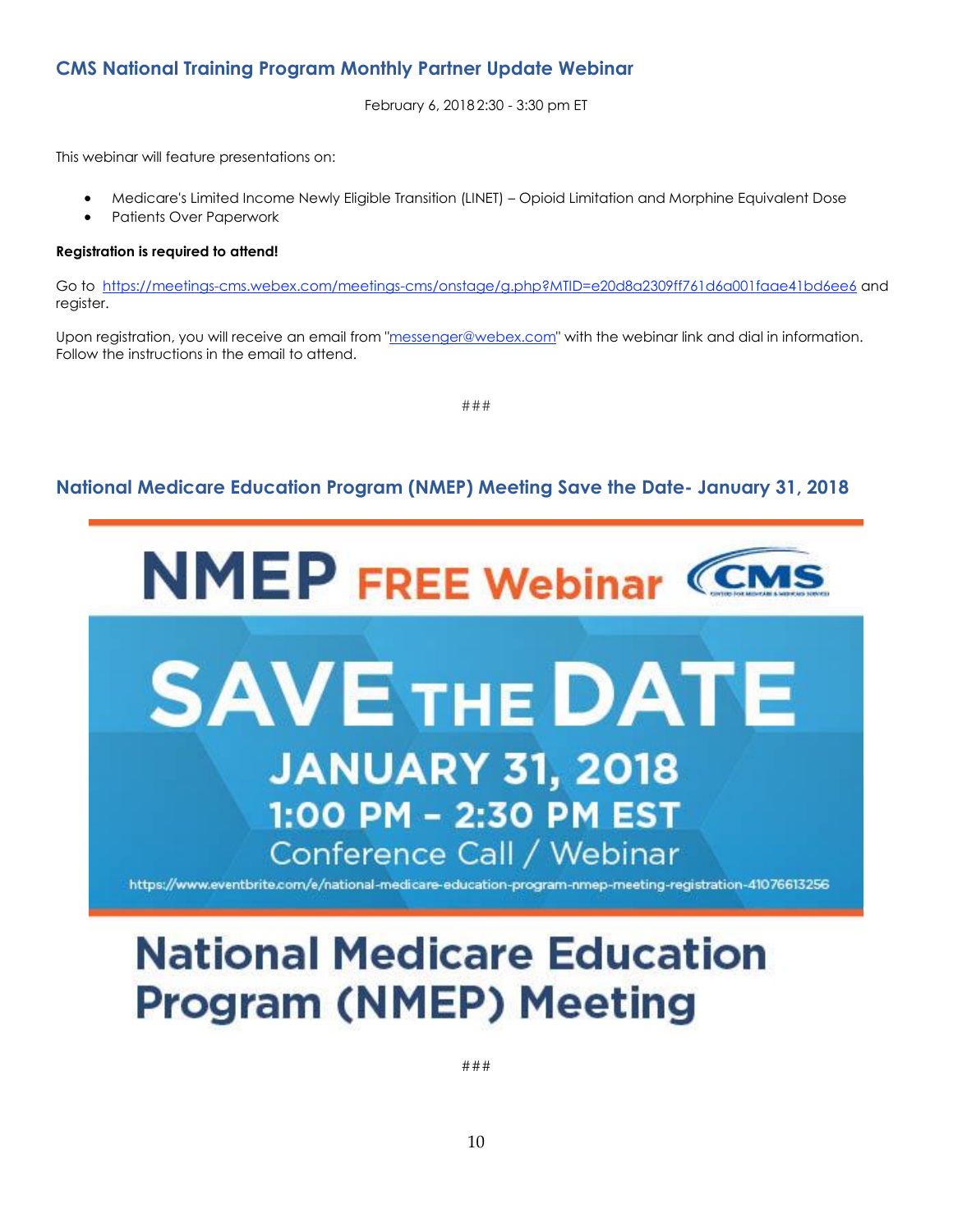# <span id="page-9-0"></span>**CMS National Training Program Monthly Partner Update Webinar**

February 6, 2018 2:30 - 3:30 pm ET

This webinar will feature presentations on:

- Medicare's Limited Income Newly Eligible Transition (LINET) Opioid Limitation and Morphine Equivalent Dose
- Patients Over Paperwork

### **Registration is required to attend!**

Go to [https://meetings-cms.webex.com/meetings-cms/onstage/g.php?MTID=e20d8a2309ff761d6a001faae41bd6ee6](http://links.govdelivery.com/track?type=click&enid=ZWFzPTEmbXNpZD0mYXVpZD0mbWFpbGluZ2lkPTIwMTgwMTI0Ljg0MjAyODExJm1lc3NhZ2VpZD1NREItUFJELUJVTC0yMDE4MDEyNC44NDIwMjgxMSZkYXRhYmFzZWlkPTEwMDEmc2VyaWFsPTE4MjA0OTkxJmVtYWlsaWQ9bG9yZWxlaS5zY2hpZWZlcmRlY2tlckBjbXMuaGhzLmdvdiZ1c2VyaWQ9bG9yZWxlaS5zY2hpZWZlcmRlY2tlckBjbXMuaGhzLmdvdiZ0YXJnZXRpZD0mZmw9JmV4dHJhPU11bHRpdmFyaWF0ZUlkPSYmJg==&&&100&&&https://meetings-cms.webex.com/meetings-cms/onstage/g.php?MTID=e20d8a2309ff761d6a001faae41bd6ee6) and register.

Upon registration, you will receive an email from ["messenger@webex.com"](mailto:messenger@webex.com) with the webinar link and dial in information. Follow the instructions in the email to attend.

###

# <span id="page-9-1"></span>**National Medicare Education Program (NMEP) Meeting Save the Date- January 31, 2018**



# **National Medicare Education Program (NMEP) Meeting**

###